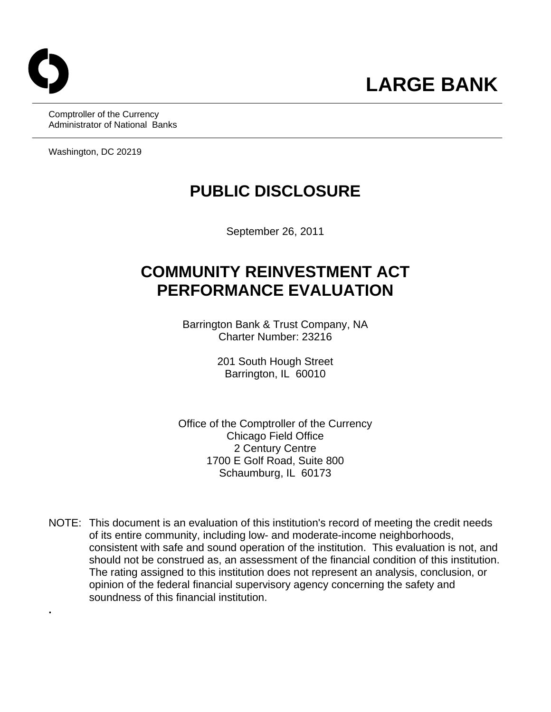**.** 

Comptroller of the Currency Administrator of National Banks

Washington, DC 20219

# **PUBLIC DISCLOSURE**

September 26, 2011

# **COMMUNITY REINVESTMENT ACT PERFORMANCE EVALUATION**

Barrington Bank & Trust Company, NA Charter Number: 23216

> 201 South Hough Street Barrington, IL 60010

Office of the Comptroller of the Currency Chicago Field Office 2 Century Centre 1700 E Golf Road, Suite 800 Schaumburg, IL 60173

 consistent with safe and sound operation of the institution. This evaluation is not, and NOTE: This document is an evaluation of this institution's record of meeting the credit needs of its entire community, including low- and moderate-income neighborhoods, should not be construed as, an assessment of the financial condition of this institution. The rating assigned to this institution does not represent an analysis, conclusion, or opinion of the federal financial supervisory agency concerning the safety and soundness of this financial institution.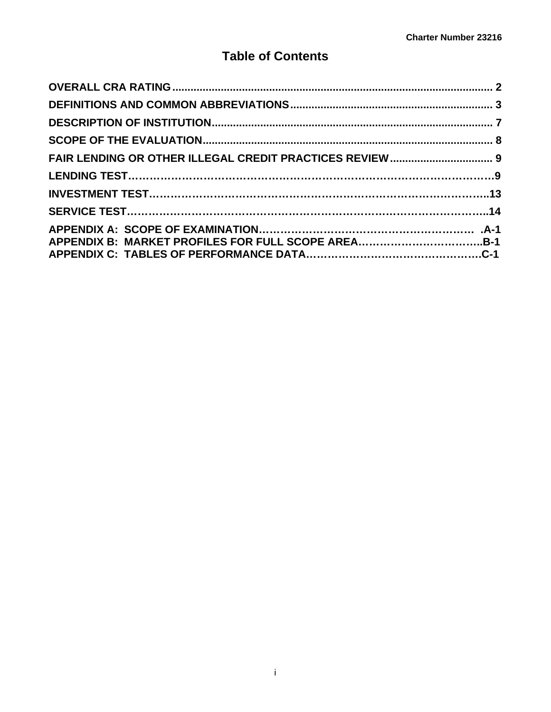## **Table of Contents**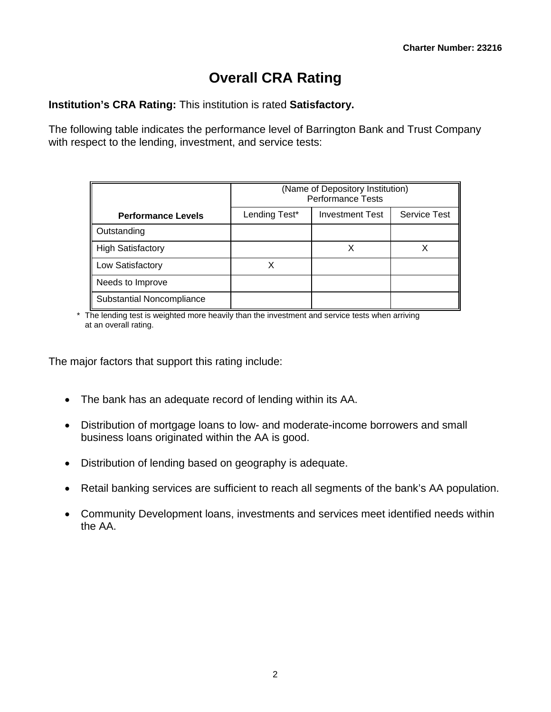# **Overall CRA Rating**

**Institution's CRA Rating:** This institution is rated **Satisfactory.** 

The following table indicates the performance level of Barrington Bank and Trust Company with respect to the lending, investment, and service tests:

|                           | (Name of Depository Institution)<br><b>Performance Tests</b> |                        |                     |  |  |  |  |  |  |  |  |
|---------------------------|--------------------------------------------------------------|------------------------|---------------------|--|--|--|--|--|--|--|--|
| <b>Performance Levels</b> | Lending Test*                                                | <b>Investment Test</b> | <b>Service Test</b> |  |  |  |  |  |  |  |  |
| Outstanding               |                                                              |                        |                     |  |  |  |  |  |  |  |  |
| <b>High Satisfactory</b>  |                                                              |                        |                     |  |  |  |  |  |  |  |  |
| Low Satisfactory          |                                                              |                        |                     |  |  |  |  |  |  |  |  |
| Needs to Improve          |                                                              |                        |                     |  |  |  |  |  |  |  |  |
| Substantial Noncompliance |                                                              |                        |                     |  |  |  |  |  |  |  |  |

\* The lending test is weighted more heavily than the investment and service tests when arriving at an overall rating.

The major factors that support this rating include:

- The bank has an adequate record of lending within its AA.
- Distribution of mortgage loans to low- and moderate-income borrowers and small business loans originated within the AA is good.
- Distribution of lending based on geography is adequate.
- Retail banking services are sufficient to reach all segments of the bank's AA population.
- Community Development loans, investments and services meet identified needs within the AA.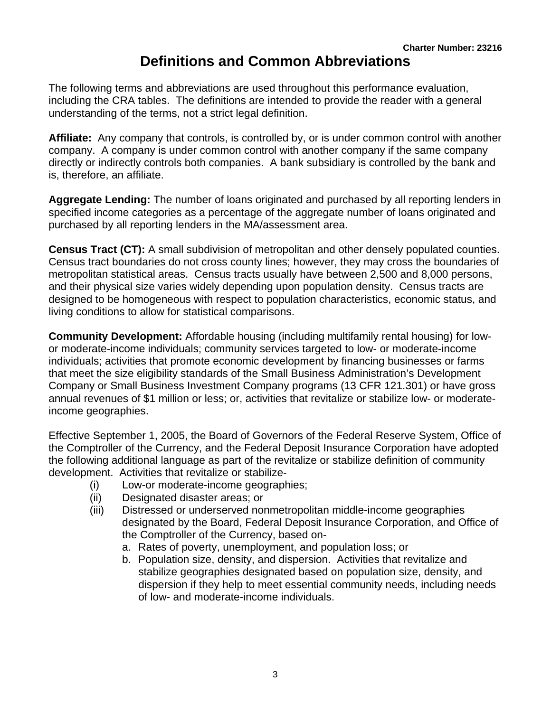# **Definitions and Common Abbreviations**

<span id="page-3-0"></span>The following terms and abbreviations are used throughout this performance evaluation, including the CRA tables. The definitions are intended to provide the reader with a general understanding of the terms, not a strict legal definition.

**Affiliate:** Any company that controls, is controlled by, or is under common control with another company. A company is under common control with another company if the same company directly or indirectly controls both companies. A bank subsidiary is controlled by the bank and is, therefore, an affiliate.

**Aggregate Lending:** The number of loans originated and purchased by all reporting lenders in specified income categories as a percentage of the aggregate number of loans originated and purchased by all reporting lenders in the MA/assessment area.

**Census Tract (CT):** A small subdivision of metropolitan and other densely populated counties. Census tract boundaries do not cross county lines; however, they may cross the boundaries of metropolitan statistical areas. Census tracts usually have between 2,500 and 8,000 persons, and their physical size varies widely depending upon population density. Census tracts are designed to be homogeneous with respect to population characteristics, economic status, and living conditions to allow for statistical comparisons.

**Community Development:** Affordable housing (including multifamily rental housing) for lowor moderate-income individuals; community services targeted to low- or moderate-income individuals; activities that promote economic development by financing businesses or farms that meet the size eligibility standards of the Small Business Administration's Development Company or Small Business Investment Company programs (13 CFR 121.301) or have gross annual revenues of \$1 million or less; or, activities that revitalize or stabilize low- or moderateincome geographies.

Effective September 1, 2005, the Board of Governors of the Federal Reserve System, Office of the Comptroller of the Currency, and the Federal Deposit Insurance Corporation have adopted the following additional language as part of the revitalize or stabilize definition of community development. Activities that revitalize or stabilize-

- (i) Low-or moderate-income geographies;
- (ii) Designated disaster areas; or
- (iii) Distressed or underserved nonmetropolitan middle-income geographies designated by the Board, Federal Deposit Insurance Corporation, and Office of the Comptroller of the Currency, based on
	- a. Rates of poverty, unemployment, and population loss; or
	- b. Population size, density, and dispersion. Activities that revitalize and stabilize geographies designated based on population size, density, and dispersion if they help to meet essential community needs, including needs of low- and moderate-income individuals.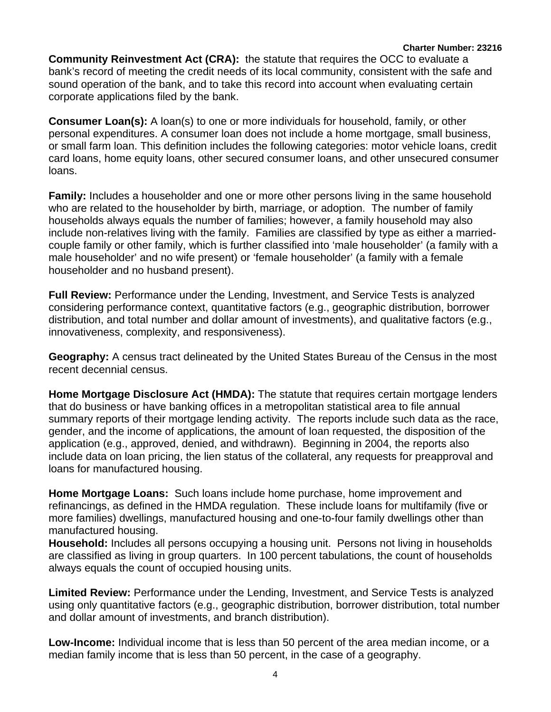#### **Charter Number: 23216**

**Community Reinvestment Act (CRA):** the statute that requires the OCC to evaluate a bank's record of meeting the credit needs of its local community, consistent with the safe and sound operation of the bank, and to take this record into account when evaluating certain corporate applications filed by the bank.

**Consumer Loan(s):** A loan(s) to one or more individuals for household, family, or other personal expenditures. A consumer loan does not include a home mortgage, small business, or small farm loan. This definition includes the following categories: motor vehicle loans, credit card loans, home equity loans, other secured consumer loans, and other unsecured consumer loans.

**Family:** Includes a householder and one or more other persons living in the same household who are related to the householder by birth, marriage, or adoption. The number of family households always equals the number of families; however, a family household may also include non-relatives living with the family. Families are classified by type as either a marriedcouple family or other family, which is further classified into 'male householder' (a family with a male householder' and no wife present) or 'female householder' (a family with a female householder and no husband present).

**Full Review:** Performance under the Lending, Investment, and Service Tests is analyzed considering performance context, quantitative factors (e.g., geographic distribution, borrower distribution, and total number and dollar amount of investments), and qualitative factors (e.g., innovativeness, complexity, and responsiveness).

**Geography:** A census tract delineated by the United States Bureau of the Census in the most recent decennial census.

**Home Mortgage Disclosure Act (HMDA):** The statute that requires certain mortgage lenders that do business or have banking offices in a metropolitan statistical area to file annual summary reports of their mortgage lending activity. The reports include such data as the race, gender, and the income of applications, the amount of loan requested, the disposition of the application (e.g., approved, denied, and withdrawn). Beginning in 2004, the reports also include data on loan pricing, the lien status of the collateral, any requests for preapproval and loans for manufactured housing.

**Home Mortgage Loans:** Such loans include home purchase, home improvement and refinancings, as defined in the HMDA regulation. These include loans for multifamily (five or more families) dwellings, manufactured housing and one-to-four family dwellings other than manufactured housing.

**Household:** Includes all persons occupying a housing unit. Persons not living in households are classified as living in group quarters. In 100 percent tabulations, the count of households always equals the count of occupied housing units.

**Limited Review:** Performance under the Lending, Investment, and Service Tests is analyzed using only quantitative factors (e.g., geographic distribution, borrower distribution, total number and dollar amount of investments, and branch distribution).

**Low-Income:** Individual income that is less than 50 percent of the area median income, or a median family income that is less than 50 percent, in the case of a geography.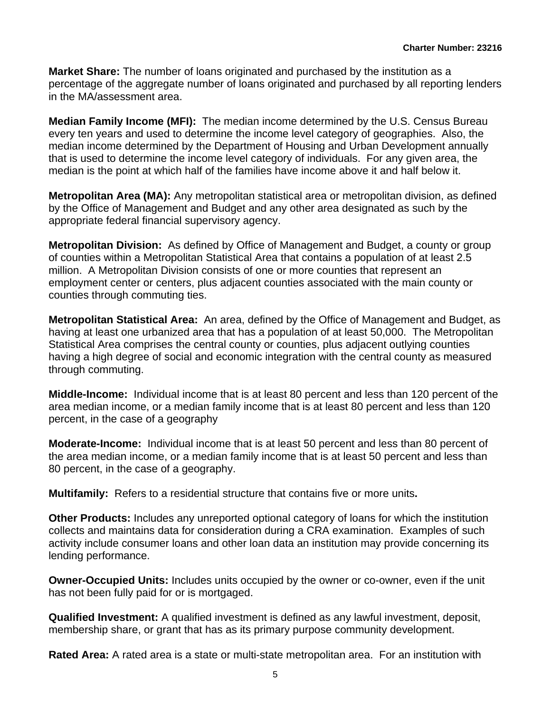**Market Share:** The number of loans originated and purchased by the institution as a percentage of the aggregate number of loans originated and purchased by all reporting lenders in the MA/assessment area.

**Median Family Income (MFI):** The median income determined by the U.S. Census Bureau every ten years and used to determine the income level category of geographies. Also, the median income determined by the Department of Housing and Urban Development annually that is used to determine the income level category of individuals. For any given area, the median is the point at which half of the families have income above it and half below it.

**Metropolitan Area (MA):** Any metropolitan statistical area or metropolitan division, as defined by the Office of Management and Budget and any other area designated as such by the appropriate federal financial supervisory agency.

**Metropolitan Division:** As defined by Office of Management and Budget, a county or group of counties within a Metropolitan Statistical Area that contains a population of at least 2.5 million. A Metropolitan Division consists of one or more counties that represent an employment center or centers, plus adjacent counties associated with the main county or counties through commuting ties.

**Metropolitan Statistical Area:** An area, defined by the Office of Management and Budget, as having at least one urbanized area that has a population of at least 50,000. The Metropolitan Statistical Area comprises the central county or counties, plus adjacent outlying counties having a high degree of social and economic integration with the central county as measured through commuting.

**Middle-Income:** Individual income that is at least 80 percent and less than 120 percent of the area median income, or a median family income that is at least 80 percent and less than 120 percent, in the case of a geography

**Moderate-Income:** Individual income that is at least 50 percent and less than 80 percent of the area median income, or a median family income that is at least 50 percent and less than 80 percent, in the case of a geography.

**Multifamily:** Refers to a residential structure that contains five or more units**.** 

**Other Products:** Includes any unreported optional category of loans for which the institution collects and maintains data for consideration during a CRA examination. Examples of such activity include consumer loans and other loan data an institution may provide concerning its lending performance.

**Owner-Occupied Units:** Includes units occupied by the owner or co-owner, even if the unit has not been fully paid for or is mortgaged.

**Qualified Investment:** A qualified investment is defined as any lawful investment, deposit, membership share, or grant that has as its primary purpose community development.

**Rated Area:** A rated area is a state or multi-state metropolitan area. For an institution with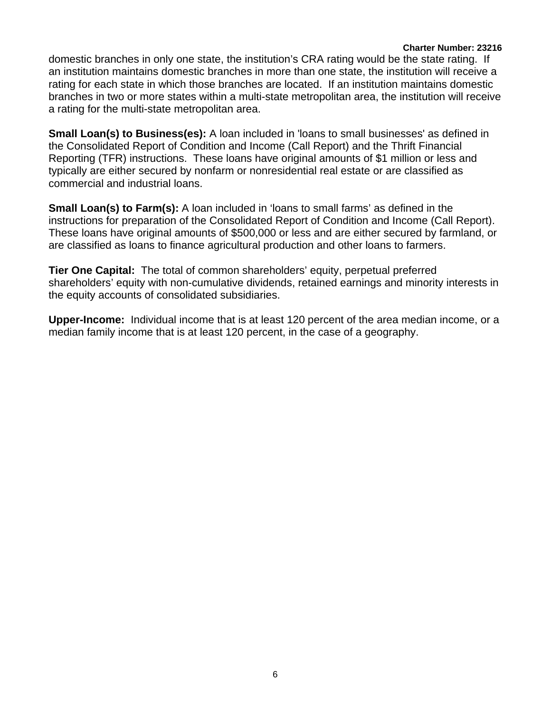#### **Charter Number: 23216**

 a rating for the multi-state metropolitan area. domestic branches in only one state, the institution's CRA rating would be the state rating. If an institution maintains domestic branches in more than one state, the institution will receive a rating for each state in which those branches are located. If an institution maintains domestic branches in two or more states within a multi-state metropolitan area, the institution will receive

**Small Loan(s) to Business(es):** A loan included in 'loans to small businesses' as defined in the Consolidated Report of Condition and Income (Call Report) and the Thrift Financial Reporting (TFR) instructions. These loans have original amounts of \$1 million or less and typically are either secured by nonfarm or nonresidential real estate or are classified as commercial and industrial loans.

**Small Loan(s) to Farm(s):** A loan included in 'loans to small farms' as defined in the instructions for preparation of the Consolidated Report of Condition and Income (Call Report). These loans have original amounts of \$500,000 or less and are either secured by farmland, or are classified as loans to finance agricultural production and other loans to farmers.

**Tier One Capital:** The total of common shareholders' equity, perpetual preferred shareholders' equity with non-cumulative dividends, retained earnings and minority interests in the equity accounts of consolidated subsidiaries.

**Upper-Income:** Individual income that is at least 120 percent of the area median income, or a median family income that is at least 120 percent, in the case of a geography.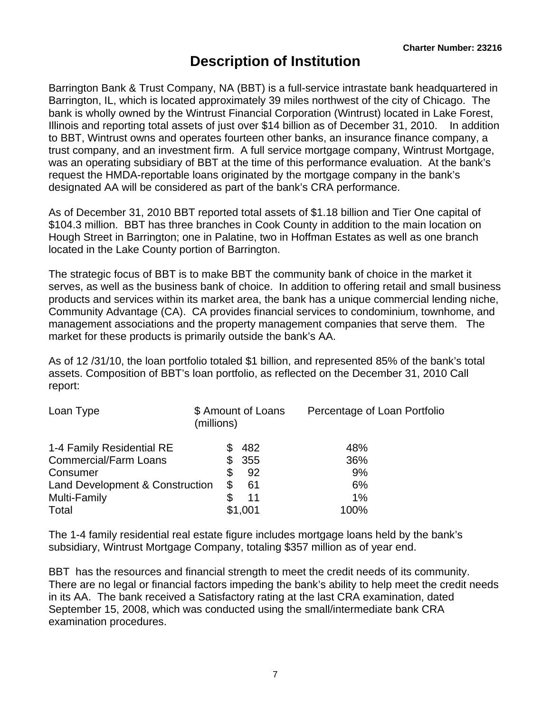# **Description of Institution**

 Illinois and reporting total assets of just over \$14 billion as of December 31, 2010. In addition Barrington Bank & Trust Company, NA (BBT) is a full-service intrastate bank headquartered in Barrington, IL, which is located approximately 39 miles northwest of the city of Chicago. The bank is wholly owned by the Wintrust Financial Corporation (Wintrust) located in Lake Forest, to BBT, Wintrust owns and operates fourteen other banks, an insurance finance company, a trust company, and an investment firm. A full service mortgage company, Wintrust Mortgage, was an operating subsidiary of BBT at the time of this performance evaluation. At the bank's request the HMDA-reportable loans originated by the mortgage company in the bank's designated AA will be considered as part of the bank's CRA performance.

As of December 31, 2010 BBT reported total assets of \$1.18 billion and Tier One capital of \$104.3 million. BBT has three branches in Cook County in addition to the main location on Hough Street in Barrington; one in Palatine, two in Hoffman Estates as well as one branch located in the Lake County portion of Barrington.

The strategic focus of BBT is to make BBT the community bank of choice in the market it serves, as well as the business bank of choice. In addition to offering retail and small business products and services within its market area, the bank has a unique commercial lending niche, Community Advantage (CA). CA provides financial services to condominium, townhome, and management associations and the property management companies that serve them. The market for these products is primarily outside the bank's AA.

As of 12 /31/10, the loan portfolio totaled \$1 billion, and represented 85% of the bank's total assets. Composition of BBT's loan portfolio, as reflected on the December 31, 2010 Call report:

| Loan Type                       | (millions) | \$ Amount of Loans | Percentage of Loan Portfolio |
|---------------------------------|------------|--------------------|------------------------------|
| 1-4 Family Residential RE       |            | 482                | 48%                          |
| <b>Commercial/Farm Loans</b>    | S          | 355                | 36%                          |
| Consumer                        | \$         | 92                 | 9%                           |
| Land Development & Construction | \$         | -61                | 6%                           |
| <b>Multi-Family</b>             |            | 11                 | 1%                           |
| Total                           |            | \$1,001            | 100%                         |

The 1-4 family residential real estate figure includes mortgage loans held by the bank's subsidiary, Wintrust Mortgage Company, totaling \$357 million as of year end.

BBT has the resources and financial strength to meet the credit needs of its community. There are no legal or financial factors impeding the bank's ability to help meet the credit needs in its AA. The bank received a Satisfactory rating at the last CRA examination, dated September 15, 2008, which was conducted using the small/intermediate bank CRA examination procedures.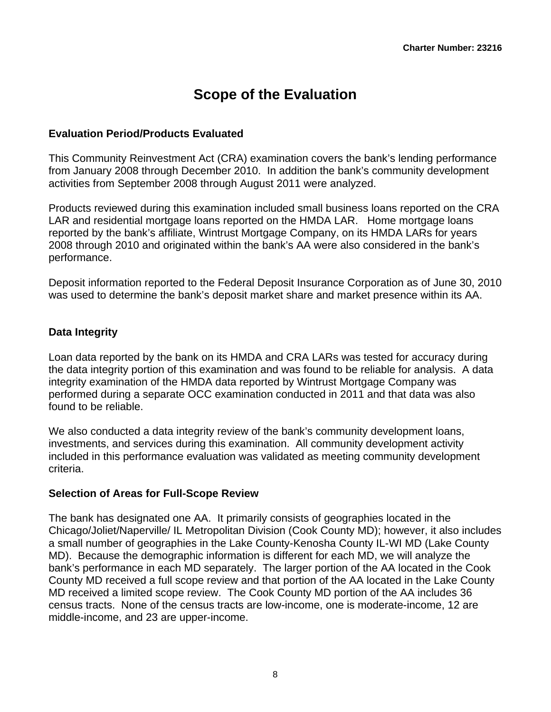# **Scope of the Evaluation**

#### <span id="page-8-0"></span>**Evaluation Period/Products Evaluated**

This Community Reinvestment Act (CRA) examination covers the bank's lending performance from January 2008 through December 2010. In addition the bank's community development activities from September 2008 through August 2011 were analyzed.

Products reviewed during this examination included small business loans reported on the CRA LAR and residential mortgage loans reported on the HMDA LAR. Home mortgage loans reported by the bank's affiliate, Wintrust Mortgage Company, on its HMDA LARs for years 2008 through 2010 and originated within the bank's AA were also considered in the bank's performance.

Deposit information reported to the Federal Deposit Insurance Corporation as of June 30, 2010 was used to determine the bank's deposit market share and market presence within its AA.

#### **Data Integrity**

Loan data reported by the bank on its HMDA and CRA LARs was tested for accuracy during the data integrity portion of this examination and was found to be reliable for analysis. A data integrity examination of the HMDA data reported by Wintrust Mortgage Company was performed during a separate OCC examination conducted in 2011 and that data was also found to be reliable.

We also conducted a data integrity review of the bank's community development loans, investments, and services during this examination. All community development activity included in this performance evaluation was validated as meeting community development criteria.

#### **Selection of Areas for Full-Scope Review**

The bank has designated one AA. It primarily consists of geographies located in the Chicago/Joliet/Naperville/ IL Metropolitan Division (Cook County MD); however, it also includes a small number of geographies in the Lake County-Kenosha County IL-WI MD (Lake County MD). Because the demographic information is different for each MD, we will analyze the bank's performance in each MD separately. The larger portion of the AA located in the Cook County MD received a full scope review and that portion of the AA located in the Lake County MD received a limited scope review. The Cook County MD portion of the AA includes 36 census tracts. None of the census tracts are low-income, one is moderate-income, 12 are middle-income, and 23 are upper-income.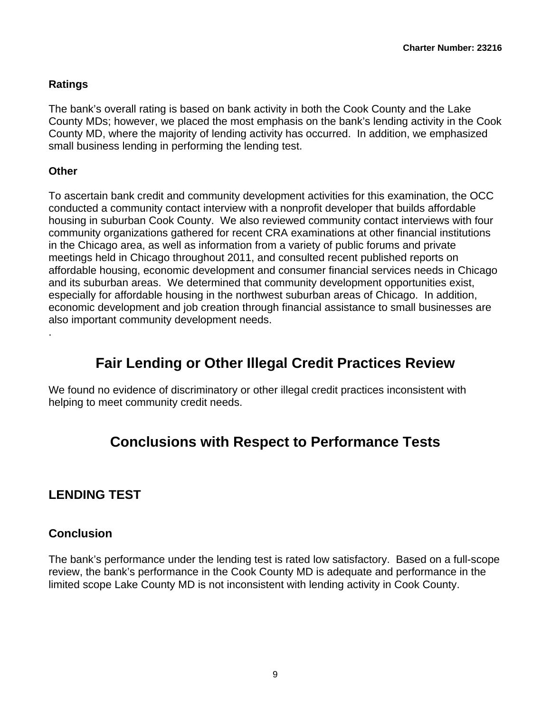### <span id="page-9-0"></span>**Ratings**

The bank's overall rating is based on bank activity in both the Cook County and the Lake County MDs; however, we placed the most emphasis on the bank's lending activity in the Cook County MD, where the majority of lending activity has occurred. In addition, we emphasized small business lending in performing the lending test.

#### **Other**

.

To ascertain bank credit and community development activities for this examination, the OCC conducted a community contact interview with a nonprofit developer that builds affordable housing in suburban Cook County. We also reviewed community contact interviews with four community organizations gathered for recent CRA examinations at other financial institutions in the Chicago area, as well as information from a variety of public forums and private meetings held in Chicago throughout 2011, and consulted recent published reports on affordable housing, economic development and consumer financial services needs in Chicago and its suburban areas. We determined that community development opportunities exist, especially for affordable housing in the northwest suburban areas of Chicago. In addition, economic development and job creation through financial assistance to small businesses are also important community development needs.

# **Fair Lending or Other Illegal Credit Practices Review**

We found no evidence of discriminatory or other illegal credit practices inconsistent with helping to meet community credit needs.

# **Conclusions with Respect to Performance Tests**

## **LENDING TEST**

## **Conclusion**

The bank's performance under the lending test is rated low satisfactory. Based on a full-scope review, the bank's performance in the Cook County MD is adequate and performance in the limited scope Lake County MD is not inconsistent with lending activity in Cook County.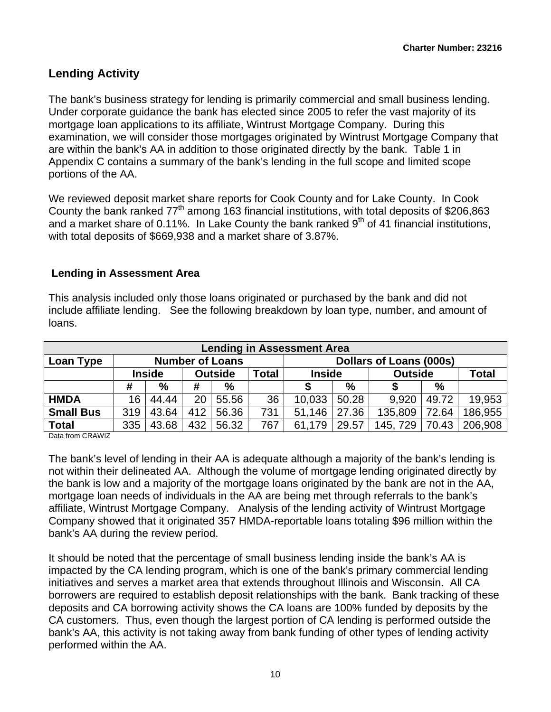## **Lending Activity**

The bank's business strategy for lending is primarily commercial and small business lending. Under corporate guidance the bank has elected since 2005 to refer the vast majority of its mortgage loan applications to its affiliate, Wintrust Mortgage Company. During this examination, we will consider those mortgages originated by Wintrust Mortgage Company that are within the bank's AA in addition to those originated directly by the bank. Table 1 in Appendix C contains a summary of the bank's lending in the full scope and limited scope portions of the AA.

We reviewed deposit market share reports for Cook County and for Lake County. In Cook County the bank ranked 77<sup>th</sup> among 163 financial institutions, with total deposits of \$206,863 and a market share of 0.11%. In Lake County the bank ranked  $9<sup>th</sup>$  of 41 financial institutions, with total deposits of \$669,938 and a market share of 3.87%.

#### **Lending in Assessment Area**

This analysis included only those loans originated or purchased by the bank and did not include affiliate lending. See the following breakdown by loan type, number, and amount of loans.

| <b>Lending in Assessment Area</b> |                                                                                        |                                                                                                    |     |                        |     |        |                         |         |               |         |  |  |  |  |
|-----------------------------------|----------------------------------------------------------------------------------------|----------------------------------------------------------------------------------------------------|-----|------------------------|-----|--------|-------------------------|---------|---------------|---------|--|--|--|--|
| Loan Type                         |                                                                                        |                                                                                                    |     | <b>Number of Loans</b> |     |        | Dollars of Loans (000s) |         |               |         |  |  |  |  |
|                                   |                                                                                        | <b>Total</b><br><b>Outside</b><br><b>Total</b><br><b>Inside</b><br><b>Inside</b><br><b>Outside</b> |     |                        |     |        |                         |         |               |         |  |  |  |  |
|                                   | $\%$<br>%<br>#<br>#                                                                    |                                                                                                    |     |                        |     |        | %                       |         | $\frac{0}{0}$ |         |  |  |  |  |
| <b>HMDA</b>                       | 16                                                                                     | 44.44                                                                                              | 20  | 55.56                  | 36  | 10,033 | 50.28                   | 9.920   | 49.72         | 19,953  |  |  |  |  |
| <b>Small Bus</b>                  | 319                                                                                    | 43.64                                                                                              | 412 | 56.36                  | 731 | 51.146 | 27.36                   | 135,809 | 72.64         | 186,955 |  |  |  |  |
| <b>Total</b>                      | 206,908<br>432<br>56.32<br>335<br>43.68<br>29.57<br>70.43<br>767<br>145, 729<br>61,179 |                                                                                                    |     |                        |     |        |                         |         |               |         |  |  |  |  |

Data from CRAWIZ

The bank's level of lending in their AA is adequate although a majority of the bank's lending is not within their delineated AA. Although the volume of mortgage lending originated directly by the bank is low and a majority of the mortgage loans originated by the bank are not in the AA, mortgage loan needs of individuals in the AA are being met through referrals to the bank's affiliate, Wintrust Mortgage Company. Analysis of the lending activity of Wintrust Mortgage Company showed that it originated 357 HMDA-reportable loans totaling \$96 million within the bank's AA during the review period.

It should be noted that the percentage of small business lending inside the bank's AA is impacted by the CA lending program, which is one of the bank's primary commercial lending initiatives and serves a market area that extends throughout Illinois and Wisconsin. All CA borrowers are required to establish deposit relationships with the bank. Bank tracking of these deposits and CA borrowing activity shows the CA loans are 100% funded by deposits by the CA customers. Thus, even though the largest portion of CA lending is performed outside the bank's AA, this activity is not taking away from bank funding of other types of lending activity performed within the AA.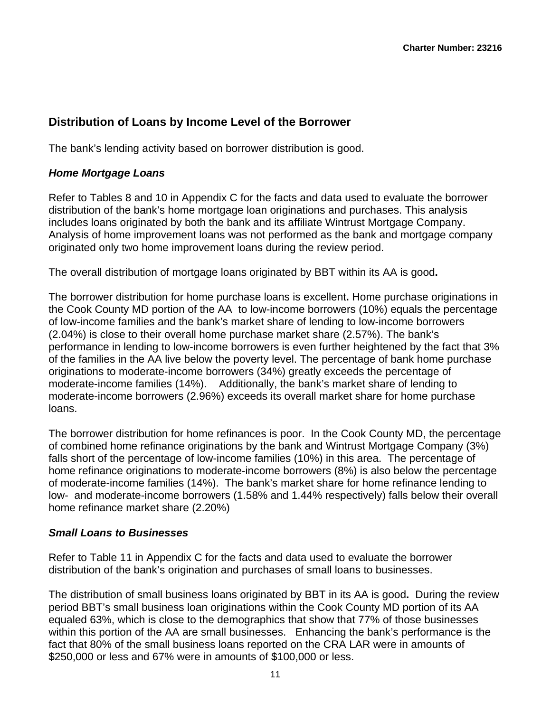## **Distribution of Loans by Income Level of the Borrower**

The bank's lending activity based on borrower distribution is good.

#### *Home Mortgage Loans*

Refer to Tables 8 and 10 in Appendix C for the facts and data used to evaluate the borrower distribution of the bank's home mortgage loan originations and purchases. This analysis includes loans originated by both the bank and its affiliate Wintrust Mortgage Company. Analysis of home improvement loans was not performed as the bank and mortgage company originated only two home improvement loans during the review period.

The overall distribution of mortgage loans originated by BBT within its AA is good**.** 

 moderate-income families (14%). Additionally, the bank's market share of lending to The borrower distribution for home purchase loans is excellent**.** Home purchase originations in the Cook County MD portion of the AA to low-income borrowers (10%) equals the percentage of low-income families and the bank's market share of lending to low-income borrowers (2.04%) is close to their overall home purchase market share (2.57%). The bank's performance in lending to low-income borrowers is even further heightened by the fact that 3% of the families in the AA live below the poverty level. The percentage of bank home purchase originations to moderate-income borrowers (34%) greatly exceeds the percentage of moderate-income borrowers (2.96%) exceeds its overall market share for home purchase loans.

The borrower distribution for home refinances is poor. In the Cook County MD, the percentage of combined home refinance originations by the bank and Wintrust Mortgage Company (3%) falls short of the percentage of low-income families (10%) in this area. The percentage of home refinance originations to moderate-income borrowers (8%) is also below the percentage of moderate-income families (14%). The bank's market share for home refinance lending to low- and moderate-income borrowers (1.58% and 1.44% respectively) falls below their overall home refinance market share (2.20%)

#### *Small Loans to Businesses*

Refer to Table 11 in Appendix C for the facts and data used to evaluate the borrower distribution of the bank's origination and purchases of small loans to businesses.

The distribution of small business loans originated by BBT in its AA is good**.** During the review period BBT's small business loan originations within the Cook County MD portion of its AA equaled 63%, which is close to the demographics that show that 77% of those businesses within this portion of the AA are small businesses. Enhancing the bank's performance is the fact that 80% of the small business loans reported on the CRA LAR were in amounts of \$250,000 or less and 67% were in amounts of \$100,000 or less.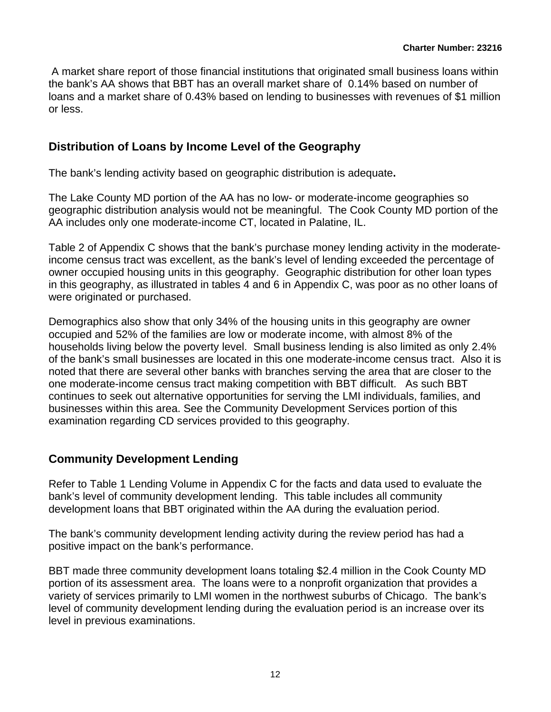A market share report of those financial institutions that originated small business loans within the bank's AA shows that BBT has an overall market share of 0.14% based on number of loans and a market share of 0.43% based on lending to businesses with revenues of \$1 million or less.

#### **Distribution of Loans by Income Level of the Geography**

The bank's lending activity based on geographic distribution is adequate**.** 

The Lake County MD portion of the AA has no low- or moderate-income geographies so geographic distribution analysis would not be meaningful. The Cook County MD portion of the AA includes only one moderate-income CT, located in Palatine, IL.

Table 2 of Appendix C shows that the bank's purchase money lending activity in the moderateincome census tract was excellent, as the bank's level of lending exceeded the percentage of owner occupied housing units in this geography. Geographic distribution for other loan types in this geography, as illustrated in tables 4 and 6 in Appendix C, was poor as no other loans of were originated or purchased.

Demographics also show that only 34% of the housing units in this geography are owner occupied and 52% of the families are low or moderate income, with almost 8% of the households living below the poverty level. Small business lending is also limited as only 2.4% of the bank's small businesses are located in this one moderate-income census tract. Also it is noted that there are several other banks with branches serving the area that are closer to the one moderate-income census tract making competition with BBT difficult. As such BBT continues to seek out alternative opportunities for serving the LMI individuals, families, and businesses within this area. See the Community Development Services portion of this examination regarding CD services provided to this geography.

#### **Community Development Lending**

Refer to Table 1 Lending Volume in Appendix C for the facts and data used to evaluate the bank's level of community development lending. This table includes all community development loans that BBT originated within the AA during the evaluation period.

The bank's community development lending activity during the review period has had a positive impact on the bank's performance.

BBT made three community development loans totaling \$2.4 million in the Cook County MD portion of its assessment area. The loans were to a nonprofit organization that provides a variety of services primarily to LMI women in the northwest suburbs of Chicago. The bank's level of community development lending during the evaluation period is an increase over its level in previous examinations.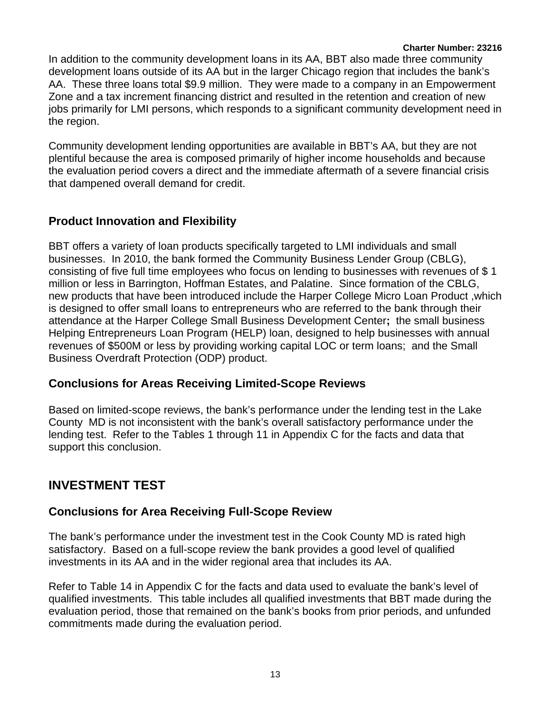#### **Charter Number: 23216**

<span id="page-13-0"></span>In addition to the community development loans in its AA, BBT also made three community development loans outside of its AA but in the larger Chicago region that includes the bank's AA. These three loans total \$9.9 million. They were made to a company in an Empowerment Zone and a tax increment financing district and resulted in the retention and creation of new jobs primarily for LMI persons, which responds to a significant community development need in the region.

Community development lending opportunities are available in BBT's AA, but they are not plentiful because the area is composed primarily of higher income households and because the evaluation period covers a direct and the immediate aftermath of a severe financial crisis that dampened overall demand for credit.

## **Product Innovation and Flexibility**

BBT offers a variety of loan products specifically targeted to LMI individuals and small businesses. In 2010, the bank formed the Community Business Lender Group (CBLG), consisting of five full time employees who focus on lending to businesses with revenues of \$ 1 million or less in Barrington, Hoffman Estates, and Palatine. Since formation of the CBLG, new products that have been introduced include the Harper College Micro Loan Product ,which is designed to offer small loans to entrepreneurs who are referred to the bank through their attendance at the Harper College Small Business Development Center**;** the small business Helping Entrepreneurs Loan Program (HELP) loan, designed to help businesses with annual revenues of \$500M or less by providing working capital LOC or term loans; and the Small Business Overdraft Protection (ODP) product.

#### **Conclusions for Areas Receiving Limited-Scope Reviews**

Based on limited-scope reviews, the bank's performance under the lending test in the Lake County MD is not inconsistent with the bank's overall satisfactory performance under the lending test. Refer to the Tables 1 through 11 in Appendix C for the facts and data that support this conclusion.

## **INVESTMENT TEST**

## **Conclusions for Area Receiving Full-Scope Review**

The bank's performance under the investment test in the Cook County MD is rated high satisfactory. Based on a full-scope review the bank provides a good level of qualified investments in its AA and in the wider regional area that includes its AA.

Refer to Table 14 in Appendix C for the facts and data used to evaluate the bank's level of qualified investments. This table includes all qualified investments that BBT made during the evaluation period, those that remained on the bank's books from prior periods, and unfunded commitments made during the evaluation period.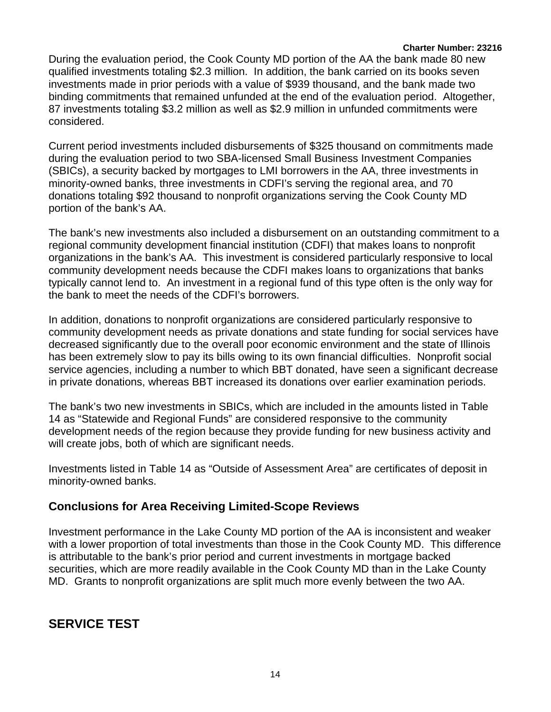#### **Charter Number: 23216**

<span id="page-14-0"></span>During the evaluation period, the Cook County MD portion of the AA the bank made 80 new qualified investments totaling \$2.3 million. In addition, the bank carried on its books seven investments made in prior periods with a value of \$939 thousand, and the bank made two binding commitments that remained unfunded at the end of the evaluation period. Altogether, 87 investments totaling \$3.2 million as well as \$2.9 million in unfunded commitments were considered.

Current period investments included disbursements of \$325 thousand on commitments made during the evaluation period to two SBA-licensed Small Business Investment Companies (SBICs), a security backed by mortgages to LMI borrowers in the AA, three investments in minority-owned banks, three investments in CDFI's serving the regional area, and 70 donations totaling \$92 thousand to nonprofit organizations serving the Cook County MD portion of the bank's AA.

The bank's new investments also included a disbursement on an outstanding commitment to a regional community development financial institution (CDFI) that makes loans to nonprofit organizations in the bank's AA. This investment is considered particularly responsive to local community development needs because the CDFI makes loans to organizations that banks typically cannot lend to. An investment in a regional fund of this type often is the only way for the bank to meet the needs of the CDFI's borrowers.

In addition, donations to nonprofit organizations are considered particularly responsive to community development needs as private donations and state funding for social services have decreased significantly due to the overall poor economic environment and the state of Illinois has been extremely slow to pay its bills owing to its own financial difficulties. Nonprofit social service agencies, including a number to which BBT donated, have seen a significant decrease in private donations, whereas BBT increased its donations over earlier examination periods.

The bank's two new investments in SBICs, which are included in the amounts listed in Table 14 as "Statewide and Regional Funds" are considered responsive to the community development needs of the region because they provide funding for new business activity and will create jobs, both of which are significant needs.

Investments listed in Table 14 as "Outside of Assessment Area" are certificates of deposit in minority-owned banks.

## **Conclusions for Area Receiving Limited-Scope Reviews**

Investment performance in the Lake County MD portion of the AA is inconsistent and weaker with a lower proportion of total investments than those in the Cook County MD. This difference is attributable to the bank's prior period and current investments in mortgage backed securities, which are more readily available in the Cook County MD than in the Lake County MD. Grants to nonprofit organizations are split much more evenly between the two AA.

## **SERVICE TEST**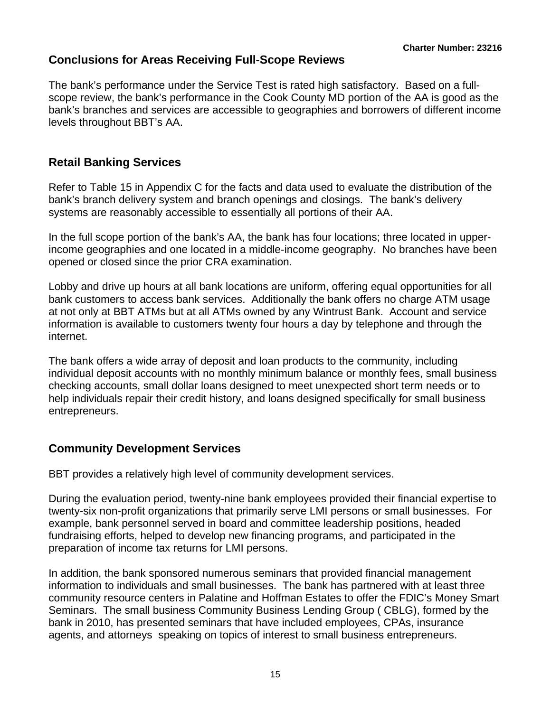## **Conclusions for Areas Receiving Full-Scope Reviews**

The bank's performance under the Service Test is rated high satisfactory. Based on a fullscope review, the bank's performance in the Cook County MD portion of the AA is good as the bank's branches and services are accessible to geographies and borrowers of different income levels throughout BBT's AA.

## **Retail Banking Services**

Refer to Table 15 in Appendix C for the facts and data used to evaluate the distribution of the bank's branch delivery system and branch openings and closings. The bank's delivery systems are reasonably accessible to essentially all portions of their AA.

In the full scope portion of the bank's AA, the bank has four locations; three located in upperincome geographies and one located in a middle-income geography. No branches have been opened or closed since the prior CRA examination.

Lobby and drive up hours at all bank locations are uniform, offering equal opportunities for all bank customers to access bank services. Additionally the bank offers no charge ATM usage at not only at BBT ATMs but at all ATMs owned by any Wintrust Bank. Account and service information is available to customers twenty four hours a day by telephone and through the internet.

The bank offers a wide array of deposit and loan products to the community, including individual deposit accounts with no monthly minimum balance or monthly fees, small business checking accounts, small dollar loans designed to meet unexpected short term needs or to help individuals repair their credit history, and loans designed specifically for small business entrepreneurs.

#### **Community Development Services**

BBT provides a relatively high level of community development services.

During the evaluation period, twenty-nine bank employees provided their financial expertise to twenty-six non-profit organizations that primarily serve LMI persons or small businesses. For example, bank personnel served in board and committee leadership positions, headed fundraising efforts, helped to develop new financing programs, and participated in the preparation of income tax returns for LMI persons.

In addition, the bank sponsored numerous seminars that provided financial management information to individuals and small businesses. The bank has partnered with at least three community resource centers in Palatine and Hoffman Estates to offer the FDIC's Money Smart Seminars. The small business Community Business Lending Group ( CBLG), formed by the bank in 2010, has presented seminars that have included employees, CPAs, insurance agents, and attorneys speaking on topics of interest to small business entrepreneurs.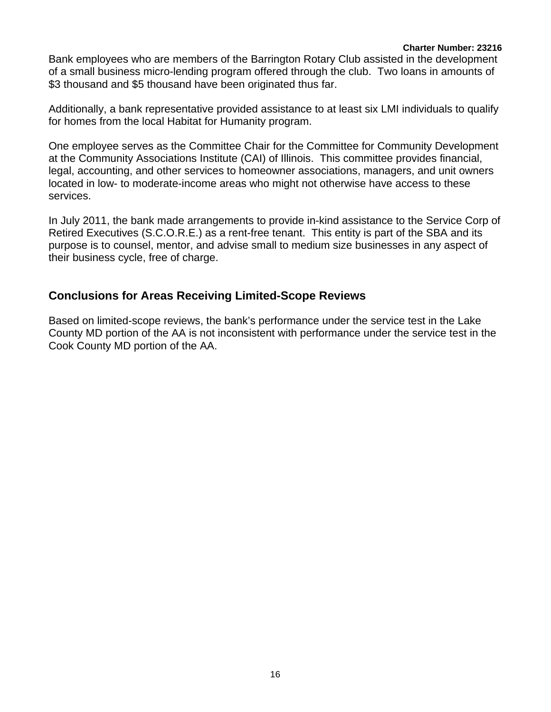Bank employees who are members of the Barrington Rotary Club assisted in the development of a small business micro-lending program offered through the club. Two loans in amounts of \$3 thousand and \$5 thousand have been originated thus far.

Additionally, a bank representative provided assistance to at least six LMI individuals to qualify for homes from the local Habitat for Humanity program.

One employee serves as the Committee Chair for the Committee for Community Development at the Community Associations Institute (CAI) of Illinois. This committee provides financial, legal, accounting, and other services to homeowner associations, managers, and unit owners located in low- to moderate-income areas who might not otherwise have access to these services.

In July 2011, the bank made arrangements to provide in-kind assistance to the Service Corp of Retired Executives (S.C.O.R.E.) as a rent-free tenant. This entity is part of the SBA and its purpose is to counsel, mentor, and advise small to medium size businesses in any aspect of their business cycle, free of charge.

#### **Conclusions for Areas Receiving Limited-Scope Reviews**

Based on limited-scope reviews, the bank's performance under the service test in the Lake County MD portion of the AA is not inconsistent with performance under the service test in the Cook County MD portion of the AA.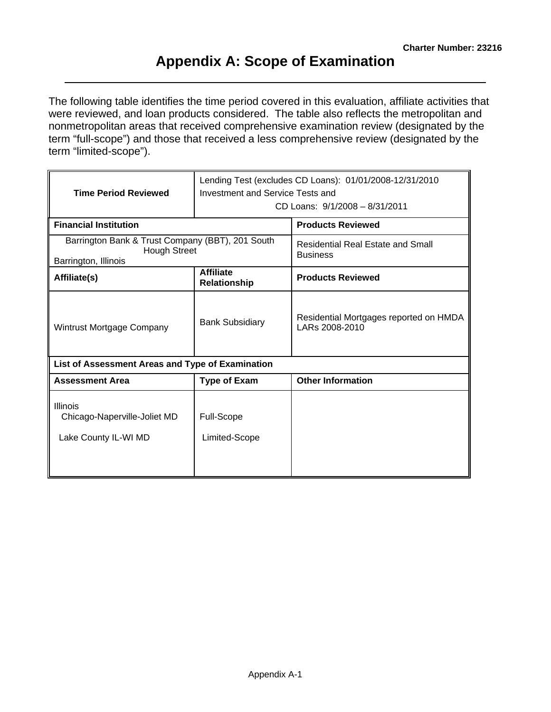The following table identifies the time period covered in this evaluation, affiliate activities that were reviewed, and loan products considered. The table also reflects the metropolitan and nonmetropolitan areas that received comprehensive examination review (designated by the term "full-scope") and those that received a less comprehensive review (designated by the term "limited-scope").

| <b>Time Period Reviewed</b>                                                                     | Lending Test (excludes CD Loans): 01/01/2008-12/31/2010<br>Investment and Service Tests and<br>CD Loans: 9/1/2008 - 8/31/2011 |                                                             |  |  |  |  |
|-------------------------------------------------------------------------------------------------|-------------------------------------------------------------------------------------------------------------------------------|-------------------------------------------------------------|--|--|--|--|
| <b>Financial Institution</b>                                                                    |                                                                                                                               | <b>Products Reviewed</b>                                    |  |  |  |  |
| Barrington Bank & Trust Company (BBT), 201 South<br><b>Hough Street</b><br>Barrington, Illinois |                                                                                                                               | <b>Residential Real Estate and Small</b><br><b>Business</b> |  |  |  |  |
| Affiliate(s)                                                                                    | <b>Affiliate</b><br>Relationship                                                                                              | <b>Products Reviewed</b>                                    |  |  |  |  |
| Wintrust Mortgage Company                                                                       | <b>Bank Subsidiary</b>                                                                                                        | Residential Mortgages reported on HMDA<br>LARs 2008-2010    |  |  |  |  |
| List of Assessment Areas and Type of Examination                                                |                                                                                                                               |                                                             |  |  |  |  |
| <b>Assessment Area</b>                                                                          | <b>Type of Exam</b>                                                                                                           | <b>Other Information</b>                                    |  |  |  |  |
| <b>Illinois</b><br>Chicago-Naperville-Joliet MD<br>Lake County IL-WI MD                         | Full-Scope<br>Limited-Scope                                                                                                   |                                                             |  |  |  |  |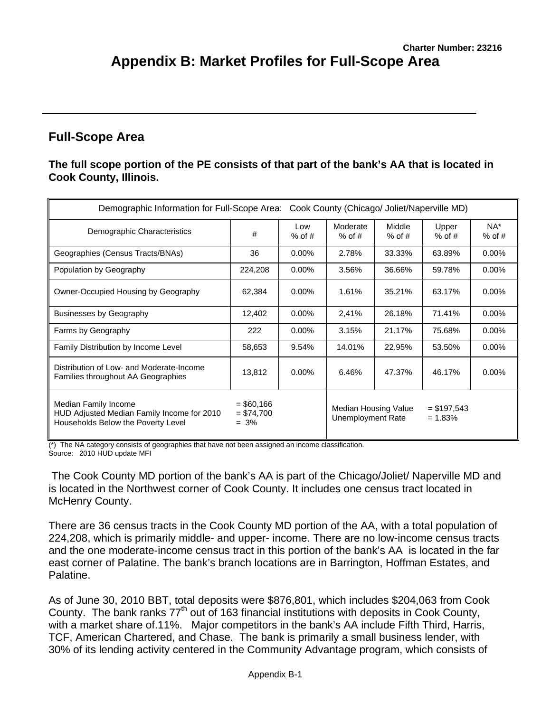## **Full-Scope Area**

#### **The full scope portion of the PE consists of that part of the bank's AA that is located in Cook County, Illinois.**

| Demographic Information for Full-Scope Area: Cook County (Chicago/ Joliet/Naperville MD)                 |                                        |                 |                                           |                    |                             |                 |  |  |  |  |  |  |  |
|----------------------------------------------------------------------------------------------------------|----------------------------------------|-----------------|-------------------------------------------|--------------------|-----------------------------|-----------------|--|--|--|--|--|--|--|
| Demographic Characteristics                                                                              | #                                      | Low<br>$%$ of # | Moderate<br>$%$ of #                      | Middle<br>$%$ of # | Upper<br>$%$ of #           | NA*<br>$%$ of # |  |  |  |  |  |  |  |
| Geographies (Census Tracts/BNAs)                                                                         | 36                                     | $0.00\%$        | 2.78%                                     | 33.33%             | 63.89%                      | $0.00\%$        |  |  |  |  |  |  |  |
| Population by Geography                                                                                  | 224,208                                | $0.00\%$        | 3.56%                                     | 36.66%             | 59.78%                      | $0.00\%$        |  |  |  |  |  |  |  |
| Owner-Occupied Housing by Geography                                                                      | 62,384                                 | $0.00\%$        | 1.61%                                     | 35.21%             | 63.17%                      | $0.00\%$        |  |  |  |  |  |  |  |
| <b>Businesses by Geography</b>                                                                           | 12,402                                 | $0.00\%$        | 2,41%                                     | 26.18%             | 71.41%                      | $0.00\%$        |  |  |  |  |  |  |  |
| Farms by Geography                                                                                       | 222                                    | $0.00\%$        | 3.15%                                     | 21.17%             | 75.68%                      | 0.00%           |  |  |  |  |  |  |  |
| Family Distribution by Income Level                                                                      | 58,653                                 | 9.54%           | 14.01%                                    | 22.95%             | 53.50%                      | $0.00\%$        |  |  |  |  |  |  |  |
| Distribution of Low- and Moderate-Income<br>Families throughout AA Geographies                           | 13,812                                 | $0.00\%$        | 6.46%                                     | 47.37%             | 46.17%                      | $0.00\%$        |  |  |  |  |  |  |  |
| Median Family Income<br>HUD Adjusted Median Family Income for 2010<br>Households Below the Poverty Level | $=$ \$60,166<br>$= $74,700$<br>$= 3\%$ |                 | Median Housing Value<br>Unemployment Rate |                    | $=$ \$197,543<br>$= 1.83\%$ |                 |  |  |  |  |  |  |  |

(\*) The NA category consists of geographies that have not been assigned an income classification. Source: 2010 HUD update MFI

 The Cook County MD portion of the bank's AA is part of the Chicago/Joliet/ Naperville MD and is located in the Northwest corner of Cook County. It includes one census tract located in McHenry County.

There are 36 census tracts in the Cook County MD portion of the AA, with a total population of 224,208, which is primarily middle- and upper- income. There are no low-income census tracts and the one moderate-income census tract in this portion of the bank's AA is located in the far east corner of Palatine. The bank's branch locations are in Barrington, Hoffman Estates, and Palatine.

As of June 30, 2010 BBT, total deposits were \$876,801, which includes \$204,063 from Cook County. The bank ranks  $77<sup>th</sup>$  out of 163 financial institutions with deposits in Cook County, with a market share of.11%. Major competitors in the bank's AA include Fifth Third, Harris, TCF, American Chartered, and Chase. The bank is primarily a small business lender, with 30% of its lending activity centered in the Community Advantage program, which consists of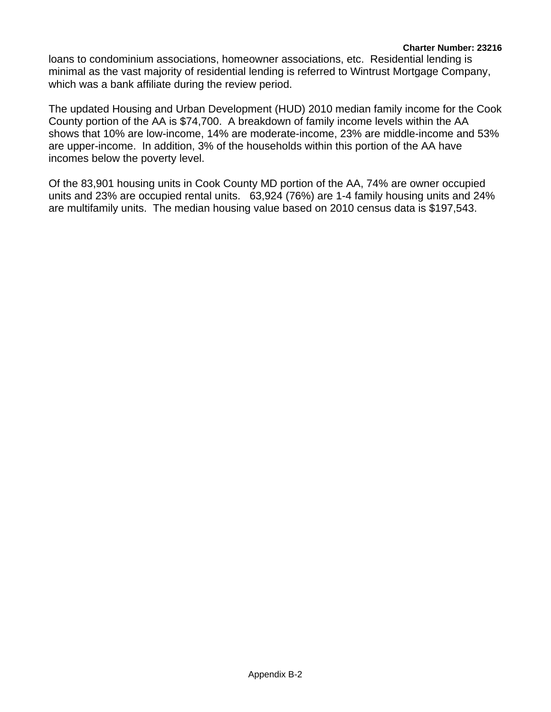loans to condominium associations, homeowner associations, etc. Residential lending is minimal as the vast majority of residential lending is referred to Wintrust Mortgage Company, which was a bank affiliate during the review period.

The updated Housing and Urban Development (HUD) 2010 median family income for the Cook County portion of the AA is \$74,700. A breakdown of family income levels within the AA shows that 10% are low-income, 14% are moderate-income, 23% are middle-income and 53% are upper-income. In addition, 3% of the households within this portion of the AA have incomes below the poverty level.

Of the 83,901 housing units in Cook County MD portion of the AA, 74% are owner occupied units and 23% are occupied rental units. 63,924 (76%) are 1-4 family housing units and 24% are multifamily units. The median housing value based on 2010 census data is \$197,543.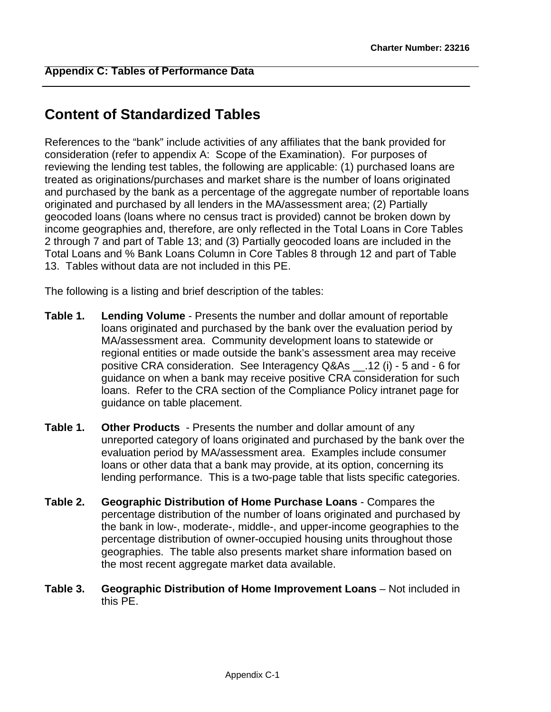# **Content of Standardized Tables**

References to the "bank" include activities of any affiliates that the bank provided for consideration (refer to appendix A: Scope of the Examination). For purposes of reviewing the lending test tables, the following are applicable: (1) purchased loans are treated as originations/purchases and market share is the number of loans originated and purchased by the bank as a percentage of the aggregate number of reportable loans originated and purchased by all lenders in the MA/assessment area; (2) Partially geocoded loans (loans where no census tract is provided) cannot be broken down by income geographies and, therefore, are only reflected in the Total Loans in Core Tables 2 through 7 and part of Table 13; and (3) Partially geocoded loans are included in the Total Loans and % Bank Loans Column in Core Tables 8 through 12 and part of Table 13. Tables without data are not included in this PE.

The following is a listing and brief description of the tables:

- **Table 1. Lending Volume** Presents the number and dollar amount of reportable loans originated and purchased by the bank over the evaluation period by MA/assessment area. Community development loans to statewide or regional entities or made outside the bank's assessment area may receive positive CRA consideration. See Interagency Q&As \_\_.12 (i) - 5 and - 6 for guidance on when a bank may receive positive CRA consideration for such loans. Refer to the CRA section of the Compliance Policy intranet page for guidance on table placement.
- **Table 1. Other Products**  Presents the number and dollar amount of any unreported category of loans originated and purchased by the bank over the evaluation period by MA/assessment area. Examples include consumer loans or other data that a bank may provide, at its option, concerning its lending performance. This is a two-page table that lists specific categories.
- **Table 2. Geographic Distribution of Home Purchase Loans** Compares the percentage distribution of the number of loans originated and purchased by the bank in low-, moderate-, middle-, and upper-income geographies to the percentage distribution of owner-occupied housing units throughout those geographies. The table also presents market share information based on the most recent aggregate market data available.
- **Table 3. Geographic Distribution of Home Improvement Loans** Not included in this PE.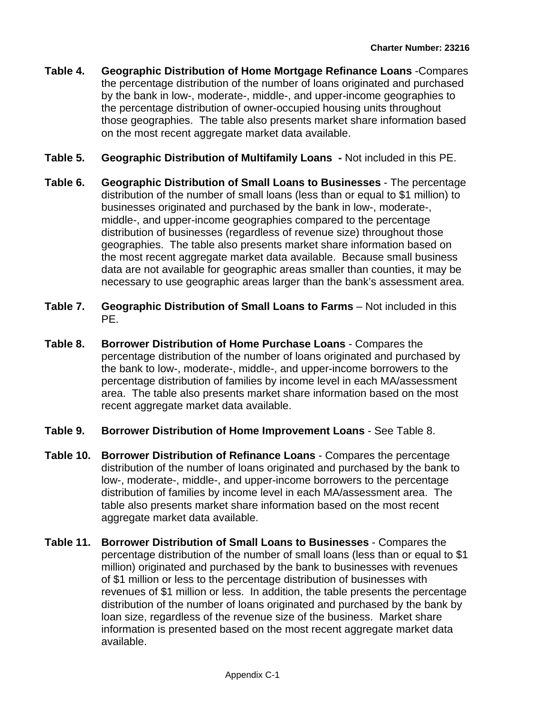- **Table 4. Geographic Distribution of Home Mortgage Refinance Loans** -Compares the percentage distribution of the number of loans originated and purchased by the bank in low-, moderate-, middle-, and upper-income geographies to the percentage distribution of owner-occupied housing units throughout those geographies. The table also presents market share information based on the most recent aggregate market data available.
- **Table 5. Geographic Distribution of Multifamily Loans -** Not included in this PE.
- **Table 6. Geographic Distribution of Small Loans to Businesses** The percentage distribution of the number of small loans (less than or equal to \$1 million) to businesses originated and purchased by the bank in low-, moderate-, middle-, and upper-income geographies compared to the percentage distribution of businesses (regardless of revenue size) throughout those geographies. The table also presents market share information based on the most recent aggregate market data available. Because small business data are not available for geographic areas smaller than counties, it may be necessary to use geographic areas larger than the bank's assessment area.
- **Table 7. Geographic Distribution of Small Loans to Farms** Not included in this PE.
- **Table 8. Borrower Distribution of Home Purchase Loans** Compares the percentage distribution of the number of loans originated and purchased by the bank to low-, moderate-, middle-, and upper-income borrowers to the percentage distribution of families by income level in each MA/assessment area. The table also presents market share information based on the most recent aggregate market data available.
- **Table 9. Borrower Distribution of Home Improvement Loans** See Table 8.
- **Table 10. Borrower Distribution of Refinance Loans** Compares the percentage distribution of the number of loans originated and purchased by the bank to low-, moderate-, middle-, and upper-income borrowers to the percentage distribution of families by income level in each MA/assessment area. The table also presents market share information based on the most recent aggregate market data available.
- **Table 11. Borrower Distribution of Small Loans to Businesses** Compares the percentage distribution of the number of small loans (less than or equal to \$1 million) originated and purchased by the bank to businesses with revenues of \$1 million or less to the percentage distribution of businesses with revenues of \$1 million or less. In addition, the table presents the percentage distribution of the number of loans originated and purchased by the bank by loan size, regardless of the revenue size of the business. Market share information is presented based on the most recent aggregate market data available.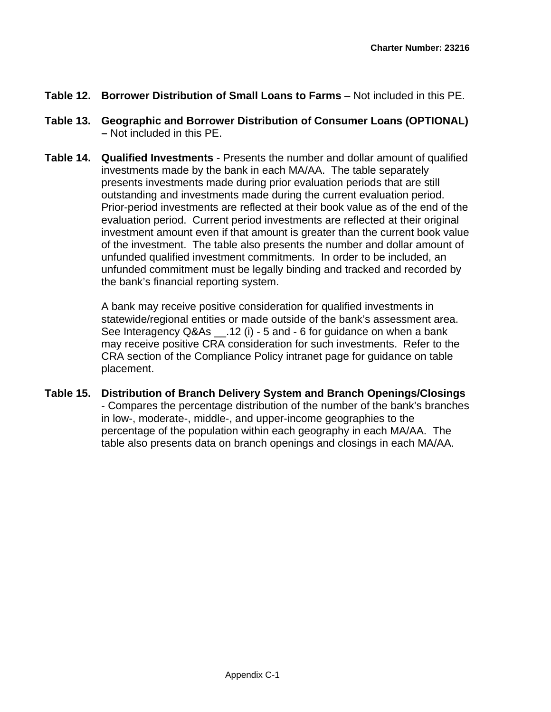- **Table 12. Borrower Distribution of Small Loans to Farms** Not included in this PE.
- **Table 13. Geographic and Borrower Distribution of Consumer Loans (OPTIONAL) –** Not included in this PE.
- **Table 14. Qualified Investments** Presents the number and dollar amount of qualified investments made by the bank in each MA/AA. The table separately presents investments made during prior evaluation periods that are still outstanding and investments made during the current evaluation period. Prior-period investments are reflected at their book value as of the end of the evaluation period. Current period investments are reflected at their original investment amount even if that amount is greater than the current book value of the investment. The table also presents the number and dollar amount of unfunded qualified investment commitments. In order to be included, an unfunded commitment must be legally binding and tracked and recorded by the bank's financial reporting system.

A bank may receive positive consideration for qualified investments in statewide/regional entities or made outside of the bank's assessment area. See Interagency Q&As .12 (i) - 5 and - 6 for guidance on when a bank may receive positive CRA consideration for such investments. Refer to the CRA section of the Compliance Policy intranet page for guidance on table placement.

**Table 15. Distribution of Branch Delivery System and Branch Openings/Closings**  - Compares the percentage distribution of the number of the bank's branches in low-, moderate-, middle-, and upper-income geographies to the percentage of the population within each geography in each MA/AA. The table also presents data on branch openings and closings in each MA/AA.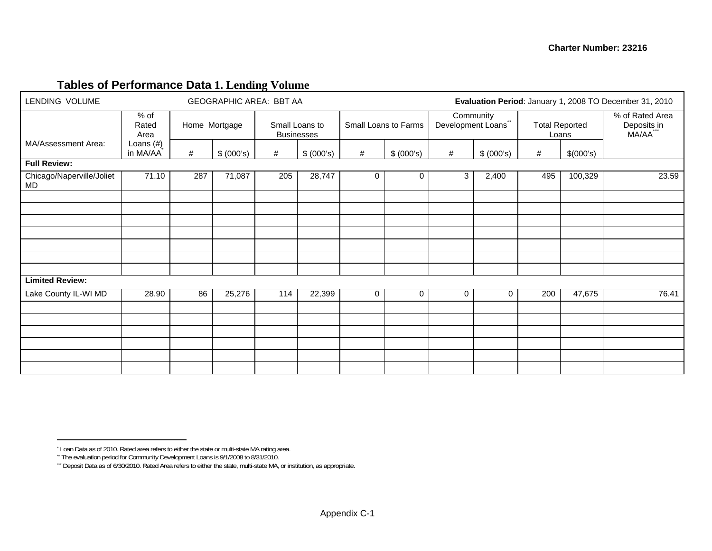## **Tables of Performance Data 1. Lending Volume**

| LENDING VOLUME                  |                         |     | GEOGRAPHIC AREA: BBT AA |                                     |            | Evaluation Period: January 1, 2008 TO December 31, 2010 |              |                                |                           |                |                       |                                            |
|---------------------------------|-------------------------|-----|-------------------------|-------------------------------------|------------|---------------------------------------------------------|--------------|--------------------------------|---------------------------|----------------|-----------------------|--------------------------------------------|
|                                 | $%$ of<br>Rated<br>Area |     | Home Mortgage           | Small Loans to<br><b>Businesses</b> |            | Small Loans to Farms                                    |              | Development Loans <sup>®</sup> | Community<br>$\star\star$ | Loans          | <b>Total Reported</b> | % of Rated Area<br>Deposits in<br>MA/AA*** |
| MA/Assessment Area:             | Loans $(H)$<br>in MA/AA | #   | \$ (000's)              | #                                   | \$ (000's) | #                                                       | \$ (000's)   | #                              | \$ (000's)                | #              | \$(000's)             |                                            |
| <b>Full Review:</b>             |                         |     |                         |                                     |            |                                                         |              |                                |                           |                |                       |                                            |
| Chicago/Naperville/Joliet<br>MD | 71.10                   | 287 | 71,087                  | 205                                 | 28,747     | 0                                                       | $\mathbf{0}$ | 2,400<br>3                     |                           | 100,329<br>495 |                       | 23.59                                      |
|                                 |                         |     |                         |                                     |            |                                                         |              |                                |                           |                |                       |                                            |
|                                 |                         |     |                         |                                     |            |                                                         |              |                                |                           |                |                       |                                            |
|                                 |                         |     |                         |                                     |            |                                                         |              |                                |                           |                |                       |                                            |
|                                 |                         |     |                         |                                     |            |                                                         |              |                                |                           |                |                       |                                            |
|                                 |                         |     |                         |                                     |            |                                                         |              |                                |                           |                |                       |                                            |
| <b>Limited Review:</b>          |                         |     |                         |                                     |            |                                                         |              |                                |                           |                |                       |                                            |
| Lake County IL-WI MD            | 28.90                   | 86  | 25,276                  | 114                                 | 22,399     | 0                                                       | 0            | 0                              | $\Omega$                  | 200            | 47,675                | 76.41                                      |
|                                 |                         |     |                         |                                     |            |                                                         |              |                                |                           |                |                       |                                            |
|                                 |                         |     |                         |                                     |            |                                                         |              |                                |                           |                |                       |                                            |
|                                 |                         |     |                         |                                     |            |                                                         |              |                                |                           |                |                       |                                            |
|                                 |                         |     |                         |                                     |            |                                                         |              |                                |                           |                |                       |                                            |
|                                 |                         |     |                         |                                     |            |                                                         |              |                                |                           |                |                       |                                            |

<sup>\*</sup> Loan Data as of 2010. Rated area refers to either the state or multi-state MA rating area.

<sup>\*\*</sup> The evaluation period for Community Development Loans is 9/1/2008 to 8/31/2010.

<sup>\*\*\*</sup> Deposit Data as of 6/30/2010. Rated Area refers to either the state, multi-state MA, or institution, as appropriate.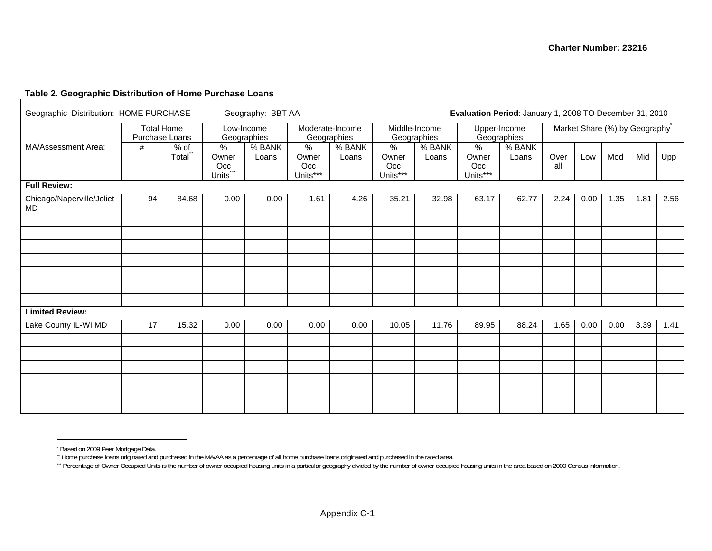#### **Table 2. Geographic Distribution of Home Purchase Loans**

| Geographic Distribution: HOME PURCHASE |                                     |                               | Geography: BBT AA                                |                 |                                  | Evaluation Period: January 1, 2008 TO December 31, 2010 |                                  |                 |                                  |                             |             |                               |      |      |      |
|----------------------------------------|-------------------------------------|-------------------------------|--------------------------------------------------|-----------------|----------------------------------|---------------------------------------------------------|----------------------------------|-----------------|----------------------------------|-----------------------------|-------------|-------------------------------|------|------|------|
|                                        | <b>Total Home</b><br>Purchase Loans |                               | Geographies                                      | Low-Income      | Moderate-Income<br>Geographies   |                                                         | Middle-Income<br>Geographies     |                 |                                  | Upper-Income<br>Geographies |             | Market Share (%) by Geography |      |      |      |
| MA/Assessment Area:                    | #                                   | % of<br>Total                 | %<br>Owner<br>Occ<br>$***$<br>Units <sup>*</sup> | % BANK<br>Loans | $\%$<br>Owner<br>Occ<br>Units*** | % BANK<br>Loans                                         | $\%$<br>Owner<br>Occ<br>Units*** | % BANK<br>Loans | $\%$<br>Owner<br>Occ<br>Units*** | % BANK<br>Loans             | Over<br>all | Low                           | Mod  | Mid  | Upp  |
| <b>Full Review:</b>                    |                                     |                               |                                                  |                 |                                  |                                                         |                                  |                 |                                  |                             |             |                               |      |      |      |
| Chicago/Naperville/Joliet<br>MD        | 94                                  | 84.68<br>0.00<br>0.00<br>1.61 |                                                  |                 |                                  | 4.26                                                    | 35.21                            | 32.98           | 63.17                            | 62.77                       | 2.24        | 0.00                          | 1.35 | 1.81 | 2.56 |
|                                        |                                     |                               |                                                  |                 |                                  |                                                         |                                  |                 |                                  |                             |             |                               |      |      |      |
|                                        |                                     |                               |                                                  |                 |                                  |                                                         |                                  |                 |                                  |                             |             |                               |      |      |      |
|                                        |                                     |                               |                                                  |                 |                                  |                                                         |                                  |                 |                                  |                             |             |                               |      |      |      |
|                                        |                                     |                               |                                                  |                 |                                  |                                                         |                                  |                 |                                  |                             |             |                               |      |      |      |
|                                        |                                     |                               |                                                  |                 |                                  |                                                         |                                  |                 |                                  |                             |             |                               |      |      |      |
| <b>Limited Review:</b>                 |                                     |                               |                                                  |                 |                                  |                                                         |                                  |                 |                                  |                             |             |                               |      |      |      |
| Lake County IL-WI MD                   | 17                                  | 15.32                         | 0.00                                             | 0.00            | 0.00                             | 0.00                                                    | 10.05                            | 11.76           | 89.95                            | 88.24                       | 1.65        | 0.00                          | 0.00 | 3.39 | 1.41 |
|                                        |                                     |                               |                                                  |                 |                                  |                                                         |                                  |                 |                                  |                             |             |                               |      |      |      |
|                                        |                                     |                               |                                                  |                 |                                  |                                                         |                                  |                 |                                  |                             |             |                               |      |      |      |
|                                        |                                     |                               |                                                  |                 |                                  |                                                         |                                  |                 |                                  |                             |             |                               |      |      |      |
|                                        |                                     |                               |                                                  |                 |                                  |                                                         |                                  |                 |                                  |                             |             |                               |      |      |      |
|                                        |                                     |                               |                                                  |                 |                                  |                                                         |                                  |                 |                                  |                             |             |                               |      |      |      |
|                                        |                                     |                               |                                                  |                 |                                  |                                                         |                                  |                 |                                  |                             |             |                               |      |      |      |

<sup>\*</sup> Based on 2009 Peer Mortgage Data.

<sup>\*\*</sup> Home purchase loans originated and purchased in the MA/AA as a percentage of all home purchase loans originated and purchased in the rated area.

<sup>\*\*\*</sup> Percentage of Owner Occupied Units is the number of owner occupied housing units in a particular geography divided by the number of owner occupied housing units in the area based on 2000 Census information.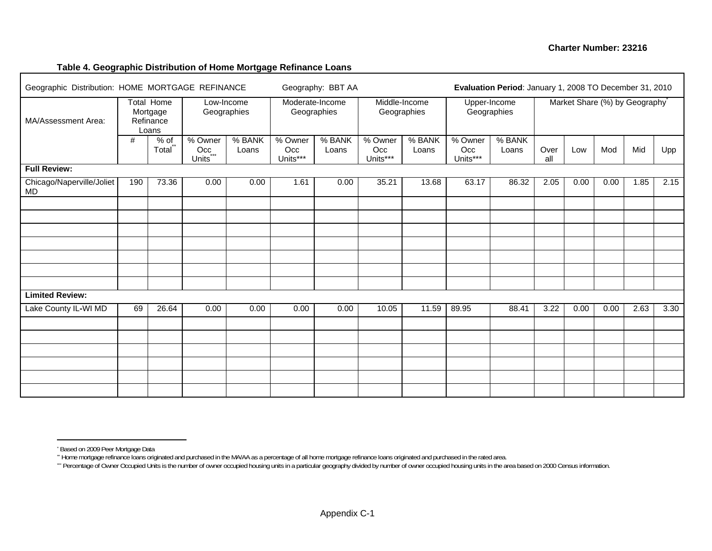#### **Table 4. Geographic Distribution of Home Mortgage Refinance Loans**

| Geographic Distribution: HOME MORTGAGE REFINANCE |      |                                                     |                                                |                           |                            | Geography: BBT AA              | Evaluation Period: January 1, 2008 TO December 31, 2010 |                 |                            |                             |             |      |      |                               |      |
|--------------------------------------------------|------|-----------------------------------------------------|------------------------------------------------|---------------------------|----------------------------|--------------------------------|---------------------------------------------------------|-----------------|----------------------------|-----------------------------|-------------|------|------|-------------------------------|------|
| MA/Assessment Area:                              |      | <b>Total Home</b><br>Mortgage<br>Refinance<br>Loans |                                                | Low-Income<br>Geographies |                            | Moderate-Income<br>Geographies | Middle-Income<br>Geographies                            |                 |                            | Upper-Income<br>Geographies |             |      |      | Market Share (%) by Geography |      |
|                                                  | $\#$ | $%$ of<br>Total                                     | % Owner<br>$Occ_{\dots}$<br>Units <sup>7</sup> | % BANK<br>Loans           | % Owner<br>Occ<br>Units*** | % BANK<br>Loans                | % Owner<br>Occ<br>Units***                              | % BANK<br>Loans | % Owner<br>Occ<br>Units*** | % BANK<br>Loans             | Over<br>all | Low  | Mod  | Mid                           | Upp  |
| <b>Full Review:</b>                              |      |                                                     |                                                |                           |                            |                                |                                                         |                 |                            |                             |             |      |      |                               |      |
| Chicago/Naperville/Joliet<br>MD                  | 190  | 73.36                                               | 0.00                                           | 0.00                      | 1.61                       | 0.00                           | 35.21                                                   | 13.68           | 63.17                      | 86.32                       | 2.05        | 0.00 | 0.00 | 1.85                          | 2.15 |
|                                                  |      |                                                     |                                                |                           |                            |                                |                                                         |                 |                            |                             |             |      |      |                               |      |
|                                                  |      |                                                     |                                                |                           |                            |                                |                                                         |                 |                            |                             |             |      |      |                               |      |
|                                                  |      |                                                     |                                                |                           |                            |                                |                                                         |                 |                            |                             |             |      |      |                               |      |
|                                                  |      |                                                     |                                                |                           |                            |                                |                                                         |                 |                            |                             |             |      |      |                               |      |
|                                                  |      |                                                     |                                                |                           |                            |                                |                                                         |                 |                            |                             |             |      |      |                               |      |
|                                                  |      |                                                     |                                                |                           |                            |                                |                                                         |                 |                            |                             |             |      |      |                               |      |
| <b>Limited Review:</b>                           |      |                                                     |                                                |                           |                            |                                |                                                         |                 |                            |                             |             |      |      |                               |      |
| Lake County IL-WI MD                             | 69   | 26.64                                               | 0.00                                           | 0.00                      | 0.00                       | 0.00                           | 10.05                                                   | 11.59           | 89.95                      | 88.41                       | 3.22        | 0.00 | 0.00 | 2.63                          | 3.30 |
|                                                  |      |                                                     |                                                |                           |                            |                                |                                                         |                 |                            |                             |             |      |      |                               |      |
|                                                  |      |                                                     |                                                |                           |                            |                                |                                                         |                 |                            |                             |             |      |      |                               |      |
|                                                  |      |                                                     |                                                |                           |                            |                                |                                                         |                 |                            |                             |             |      |      |                               |      |
|                                                  |      |                                                     |                                                |                           |                            |                                |                                                         |                 |                            |                             |             |      |      |                               |      |
|                                                  |      |                                                     |                                                |                           |                            |                                |                                                         |                 |                            |                             |             |      |      |                               |      |
|                                                  |      |                                                     |                                                |                           |                            |                                |                                                         |                 |                            |                             |             |      |      |                               |      |

<sup>\*</sup> Based on 2009 Peer Mortgage Data

<sup>\*\*</sup> Home mortgage refinance loans originated and purchased in the MA/AA as a percentage of all home mortgage refinance loans originated and purchased in the rated area.

<sup>\*\*\*</sup> Percentage of Owner Occupied Units is the number of owner occupied housing units in a particular geography divided by number of owner occupied housing units in the area based on 2000 Census information.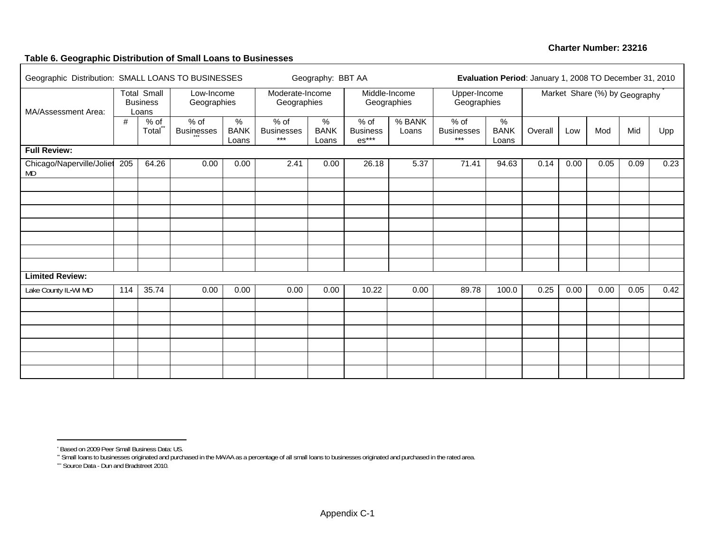#### **Table 6. Geographic Distribution of Small Loans to Businesses**

| Geographic Distribution: SMALL LOANS TO BUSINESSES |     | Geography: BBT AA                              |                             |                                       | Evaluation Period: January 1, 2008 TO December 31, 2010 |                                       |                                      |                   |                                                  |                                       |         |      |                               |      |      |
|----------------------------------------------------|-----|------------------------------------------------|-----------------------------|---------------------------------------|---------------------------------------------------------|---------------------------------------|--------------------------------------|-------------------|--------------------------------------------------|---------------------------------------|---------|------|-------------------------------|------|------|
| MA/Assessment Area:                                |     | <b>Total Small</b><br><b>Business</b><br>Loans | Low-Income<br>Geographies   |                                       | Moderate-Income<br>Geographies                          |                                       | Middle-Income<br>Geographies         |                   | Upper-Income<br>Geographies                      |                                       |         |      | Market Share (%) by Geography |      |      |
|                                                    | #   | $%$ of<br>Total <sup>**</sup>                  | $%$ of<br><b>Businesses</b> | $\frac{9}{6}$<br><b>BANK</b><br>Loans | $%$ of<br><b>Businesses</b><br>$***$                    | $\frac{1}{6}$<br><b>BANK</b><br>Loans | $%$ of<br><b>Business</b><br>$es***$ | $%$ BANK<br>Loans | $%$ of<br><b>Businesses</b><br>$\star\star\star$ | $\frac{9}{6}$<br><b>BANK</b><br>Loans | Overall | Low  | Mod                           | Mid  | Upp  |
| <b>Full Review:</b>                                |     |                                                |                             |                                       |                                                         |                                       |                                      |                   |                                                  |                                       |         |      |                               |      |      |
| Chicago/Naperville/Joliet<br>MD                    | 205 | 64.26                                          | 0.00                        | 0.00                                  | 2.41                                                    | 0.00                                  | 26.18                                | 5.37              | 71.41                                            | 94.63                                 | 0.14    | 0.00 | 0.05                          | 0.09 | 0.23 |
|                                                    |     |                                                |                             |                                       |                                                         |                                       |                                      |                   |                                                  |                                       |         |      |                               |      |      |
|                                                    |     |                                                |                             |                                       |                                                         |                                       |                                      |                   |                                                  |                                       |         |      |                               |      |      |
|                                                    |     |                                                |                             |                                       |                                                         |                                       |                                      |                   |                                                  |                                       |         |      |                               |      |      |
|                                                    |     |                                                |                             |                                       |                                                         |                                       |                                      |                   |                                                  |                                       |         |      |                               |      |      |
|                                                    |     |                                                |                             |                                       |                                                         |                                       |                                      |                   |                                                  |                                       |         |      |                               |      |      |
| <b>Limited Review:</b>                             |     |                                                |                             |                                       |                                                         |                                       |                                      |                   |                                                  |                                       |         |      |                               |      |      |
| Lake County IL-WI MD                               | 114 | 35.74                                          | 0.00                        | 0.00                                  | 0.00                                                    | 0.00                                  | 10.22                                | 0.00              | 89.78                                            | 100.0                                 | 0.25    | 0.00 | 0.00                          | 0.05 | 0.42 |
|                                                    |     |                                                |                             |                                       |                                                         |                                       |                                      |                   |                                                  |                                       |         |      |                               |      |      |
|                                                    |     |                                                |                             |                                       |                                                         |                                       |                                      |                   |                                                  |                                       |         |      |                               |      |      |
|                                                    |     |                                                |                             |                                       |                                                         |                                       |                                      |                   |                                                  |                                       |         |      |                               |      |      |
|                                                    |     |                                                |                             |                                       |                                                         |                                       |                                      |                   |                                                  |                                       |         |      |                               |      |      |
|                                                    |     |                                                |                             |                                       |                                                         |                                       |                                      |                   |                                                  |                                       |         |      |                               |      |      |
|                                                    |     |                                                |                             |                                       |                                                         |                                       |                                      |                   |                                                  |                                       |         |      |                               |      |      |

<sup>\*</sup> Based on 2009 Peer Small Business Data: US.

\*\* Small loans to businesses originated and purchased in the MA/AA as a percentage of all small loans to businesses originated and purchased in the rated area.

<sup>\*\*\*</sup> Source Data - Dun and Bradstreet 2010.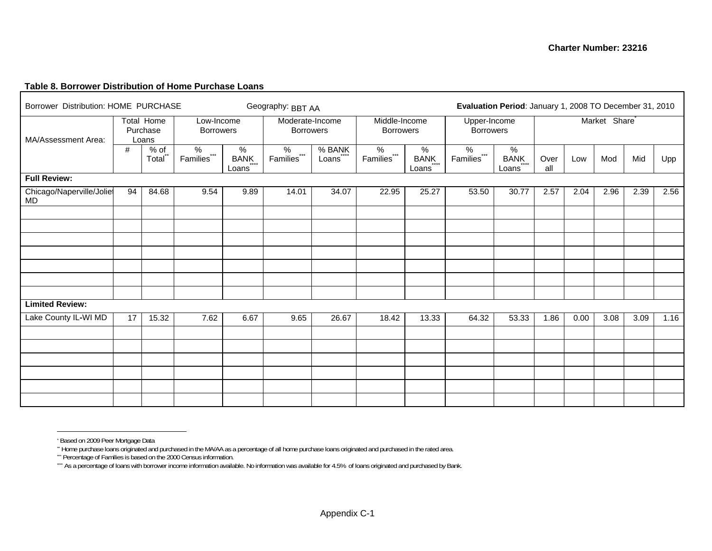#### **Table 8. Borrower Distribution of Home Purchase Loans**

Г

| Borrower Distribution: HOME PURCHASE |    |                                 |                                        |                    | Geography: BBT AA                   | Evaluation Period: January 1, 2008 TO December 31, 2010 |                                                 |                       |                                                    |                       |             |      |                           |      |      |
|--------------------------------------|----|---------------------------------|----------------------------------------|--------------------|-------------------------------------|---------------------------------------------------------|-------------------------------------------------|-----------------------|----------------------------------------------------|-----------------------|-------------|------|---------------------------|------|------|
| MA/Assessment Area:                  |    | Total Home<br>Purchase<br>Loans | Low-Income<br><b>Borrowers</b>         |                    | Moderate-Income<br><b>Borrowers</b> |                                                         | Middle-Income<br><b>Borrowers</b>               |                       | Upper-Income<br><b>Borrowers</b>                   |                       |             |      | Market Share <sup>®</sup> |      |      |
|                                      | #  | $%$ of<br>Total                 | $\%$<br>$***$<br>Families <sup>®</sup> | %<br>BANK<br>Loans |                                     | % BANK<br>Loans                                         | %<br>$\star\star\star$<br>Families <sup>®</sup> | $\%$<br>BANK<br>Loans | $\%$<br>$\star\star\star$<br>Families <sup>®</sup> | $\%$<br>BANK<br>Loans | Over<br>all | Low  | Mod                       | Mid  | Upp  |
| <b>Full Review:</b>                  |    |                                 |                                        |                    |                                     |                                                         |                                                 |                       |                                                    |                       |             |      |                           |      |      |
| Chicago/Naperville/Joliet<br>MD      | 94 | 84.68                           | 9.54                                   | 9.89               | 14.01                               | 34.07                                                   | 22.95                                           | 25.27                 | 53.50                                              | 30.77                 | 2.57        | 2.04 | 2.96                      | 2.39 | 2.56 |
|                                      |    |                                 |                                        |                    |                                     |                                                         |                                                 |                       |                                                    |                       |             |      |                           |      |      |
|                                      |    |                                 |                                        |                    |                                     |                                                         |                                                 |                       |                                                    |                       |             |      |                           |      |      |
|                                      |    |                                 |                                        |                    |                                     |                                                         |                                                 |                       |                                                    |                       |             |      |                           |      |      |
|                                      |    |                                 |                                        |                    |                                     |                                                         |                                                 |                       |                                                    |                       |             |      |                           |      |      |
|                                      |    |                                 |                                        |                    |                                     |                                                         |                                                 |                       |                                                    |                       |             |      |                           |      |      |
| <b>Limited Review:</b>               |    |                                 |                                        |                    |                                     |                                                         |                                                 |                       |                                                    |                       |             |      |                           |      |      |
| Lake County IL-WI MD                 | 17 | 15.32                           | 7.62                                   | 6.67               | 9.65                                | 26.67                                                   | 18.42                                           | 13.33                 | 64.32                                              | 53.33                 | 1.86        | 0.00 | 3.08                      | 3.09 | 1.16 |
|                                      |    |                                 |                                        |                    |                                     |                                                         |                                                 |                       |                                                    |                       |             |      |                           |      |      |
|                                      |    |                                 |                                        |                    |                                     |                                                         |                                                 |                       |                                                    |                       |             |      |                           |      |      |
|                                      |    |                                 |                                        |                    |                                     |                                                         |                                                 |                       |                                                    |                       |             |      |                           |      |      |
|                                      |    |                                 |                                        |                    |                                     |                                                         |                                                 |                       |                                                    |                       |             |      |                           |      |      |
|                                      |    |                                 |                                        |                    |                                     |                                                         |                                                 |                       |                                                    |                       |             |      |                           |      |      |
|                                      |    |                                 |                                        |                    |                                     |                                                         |                                                 |                       |                                                    |                       |             |      |                           |      |      |

<sup>\*</sup> Based on 2009 Peer Mortgage Data

<sup>\*\*</sup> Home purchase loans originated and purchased in the MA/AA as a percentage of all home purchase loans originated and purchased in the rated area.

<sup>\*\*\*</sup> Percentage of Families is based on the 2000 Census information.

<sup>\*\*\*</sup> As a percentage of loans with borrower income information available. No information was available for 4.5% of loans originated and purchased by Bank.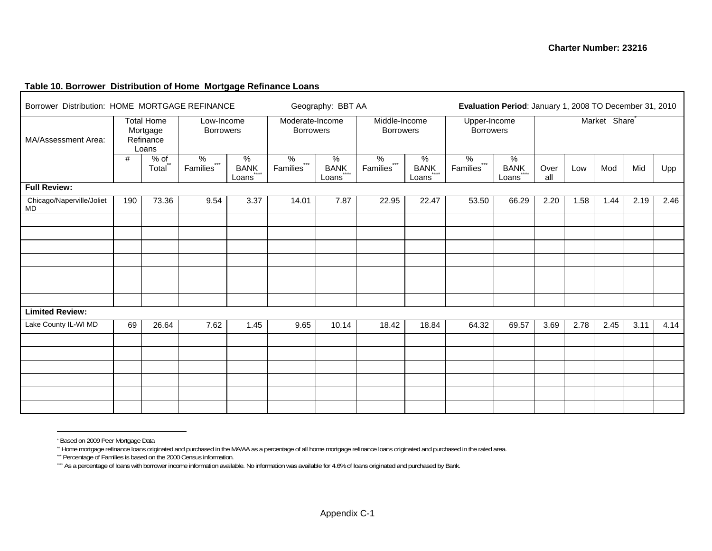#### **Table 10. Borrower Distribution of Home Mortgage Refinance Loans**

| Borrower Distribution: HOME MORTGAGE REFINANCE |                                                                                       |                 |                                       |                                                                          |                  | Geography: BBT AA  | Evaluation Period: January 1, 2008 TO December 31, 2010 |                                  |                  |                    |             |      |      |      |      |  |
|------------------------------------------------|---------------------------------------------------------------------------------------|-----------------|---------------------------------------|--------------------------------------------------------------------------|------------------|--------------------|---------------------------------------------------------|----------------------------------|------------------|--------------------|-------------|------|------|------|------|--|
| MA/Assessment Area:                            | <b>Total Home</b><br>Low-Income<br>Mortgage<br><b>Borrowers</b><br>Refinance<br>Loans |                 |                                       | Moderate-Income<br>Middle-Income<br><b>Borrowers</b><br><b>Borrowers</b> |                  |                    |                                                         | Upper-Income<br><b>Borrowers</b> |                  | Market Share       |             |      |      |      |      |  |
|                                                | #                                                                                     | $%$ of<br>Total | $\%$<br>$\star\star\star$<br>Families | %<br>BANK<br>Loans                                                       | %<br>Families*** | %<br>BANK<br>Loans | %<br>Families***                                        | %<br>BANK<br>Loans               | %<br>Families*** | %<br>BANK<br>Loans | Over<br>all | Low  | Mod  | Mid  | Upp  |  |
| <b>Full Review:</b>                            |                                                                                       |                 |                                       |                                                                          |                  |                    |                                                         |                                  |                  |                    |             |      |      |      |      |  |
| Chicago/Naperville/Joliet<br>MD                | 190                                                                                   | 73.36           | 9.54                                  | 3.37                                                                     | 14.01            | 7.87               | 22.95                                                   | 22.47                            | 53.50            | 66.29              | 2.20        | 1.58 | 1.44 | 2.19 | 2.46 |  |
|                                                |                                                                                       |                 |                                       |                                                                          |                  |                    |                                                         |                                  |                  |                    |             |      |      |      |      |  |
|                                                |                                                                                       |                 |                                       |                                                                          |                  |                    |                                                         |                                  |                  |                    |             |      |      |      |      |  |
|                                                |                                                                                       |                 |                                       |                                                                          |                  |                    |                                                         |                                  |                  |                    |             |      |      |      |      |  |
|                                                |                                                                                       |                 |                                       |                                                                          |                  |                    |                                                         |                                  |                  |                    |             |      |      |      |      |  |
|                                                |                                                                                       |                 |                                       |                                                                          |                  |                    |                                                         |                                  |                  |                    |             |      |      |      |      |  |
|                                                |                                                                                       |                 |                                       |                                                                          |                  |                    |                                                         |                                  |                  |                    |             |      |      |      |      |  |
|                                                |                                                                                       |                 |                                       |                                                                          |                  |                    |                                                         |                                  |                  |                    |             |      |      |      |      |  |
| <b>Limited Review:</b>                         |                                                                                       |                 |                                       |                                                                          |                  |                    |                                                         |                                  |                  |                    |             |      |      |      |      |  |
| Lake County IL-WI MD                           | 69                                                                                    | 26.64           | 7.62                                  | 1.45                                                                     | 9.65             | 10.14              | 18.42                                                   | 18.84                            | 64.32            | 69.57              | 3.69        | 2.78 | 2.45 | 3.11 | 4.14 |  |
|                                                |                                                                                       |                 |                                       |                                                                          |                  |                    |                                                         |                                  |                  |                    |             |      |      |      |      |  |
|                                                |                                                                                       |                 |                                       |                                                                          |                  |                    |                                                         |                                  |                  |                    |             |      |      |      |      |  |
|                                                |                                                                                       |                 |                                       |                                                                          |                  |                    |                                                         |                                  |                  |                    |             |      |      |      |      |  |
|                                                |                                                                                       |                 |                                       |                                                                          |                  |                    |                                                         |                                  |                  |                    |             |      |      |      |      |  |
|                                                |                                                                                       |                 |                                       |                                                                          |                  |                    |                                                         |                                  |                  |                    |             |      |      |      |      |  |
|                                                |                                                                                       |                 |                                       |                                                                          |                  |                    |                                                         |                                  |                  |                    |             |      |      |      |      |  |

<sup>\*</sup> Based on 2009 Peer Mortgage Data

<sup>\*\*</sup> Home mortgage refinance loans originated and purchased in the MA/AA as a percentage of all home mortgage refinance loans originated and purchased in the rated area.

<sup>\*\*\*\*\*\*\*</sup> Percentage of Families is based on the 2000 Census information.

<sup>\*\*\*</sup> As a percentage of loans with borrower income information available. No information was available for 4.6% of loans originated and purchased by Bank.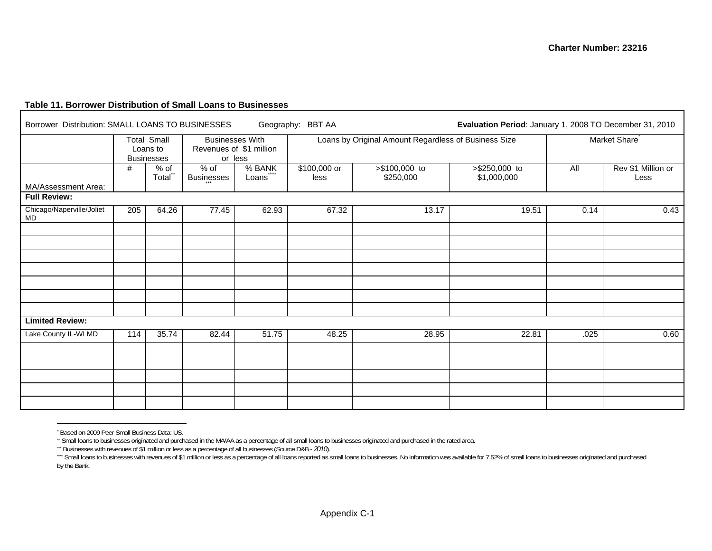#### **Table 11. Borrower Distribution of Small Loans to Businesses**

| Borrower Distribution: SMALL LOANS TO BUSINESSES |     |                                                     |                             |                                                   | Geography: BBT AA     |                                                      | Evaluation Period: January 1, 2008 TO December 31, 2010 |      |                            |  |  |
|--------------------------------------------------|-----|-----------------------------------------------------|-----------------------------|---------------------------------------------------|-----------------------|------------------------------------------------------|---------------------------------------------------------|------|----------------------------|--|--|
|                                                  |     | <b>Total Small</b><br>Loans to<br><b>Businesses</b> | or less                     | <b>Businesses With</b><br>Revenues of \$1 million |                       | Loans by Original Amount Regardless of Business Size |                                                         |      | Market Share <sup>®</sup>  |  |  |
| MA/Assessment Area:                              | #   | $%$ of<br>Total <sup>®</sup>                        | $%$ of<br><b>Businesses</b> | % BANK<br>Loans                                   | $$100,000$ or<br>less | >\$100,000 to<br>\$250,000                           | >\$250,000 to<br>\$1,000,000                            | All  | Rev \$1 Million or<br>Less |  |  |
| <b>Full Review:</b>                              |     |                                                     |                             |                                                   |                       |                                                      |                                                         |      |                            |  |  |
| Chicago/Naperville/Joliet<br>$\mathsf{MD}$       | 205 | 64.26                                               | 77.45                       | 62.93                                             | 67.32                 | 13.17                                                | 19.51                                                   | 0.14 | 0.43                       |  |  |
|                                                  |     |                                                     |                             |                                                   |                       |                                                      |                                                         |      |                            |  |  |
|                                                  |     |                                                     |                             |                                                   |                       |                                                      |                                                         |      |                            |  |  |
|                                                  |     |                                                     |                             |                                                   |                       |                                                      |                                                         |      |                            |  |  |
|                                                  |     |                                                     |                             |                                                   |                       |                                                      |                                                         |      |                            |  |  |
| <b>Limited Review:</b>                           |     |                                                     |                             |                                                   |                       |                                                      |                                                         |      |                            |  |  |
| Lake County IL-WI MD                             | 114 | 35.74                                               | 82.44                       | 51.75                                             | 48.25                 | 28.95                                                | 22.81                                                   | .025 | 0.60                       |  |  |
|                                                  |     |                                                     |                             |                                                   |                       |                                                      |                                                         |      |                            |  |  |
|                                                  |     |                                                     |                             |                                                   |                       |                                                      |                                                         |      |                            |  |  |
|                                                  |     |                                                     |                             |                                                   |                       |                                                      |                                                         |      |                            |  |  |
|                                                  |     |                                                     |                             |                                                   |                       |                                                      |                                                         |      |                            |  |  |

<sup>\*</sup> Based on 2009 Peer Small Business Data: US.

\*\* Small loans to businesses originated and purchased in the MA/AA as a percentage of all small loans to businesses originated and purchased in the rated area.

<sup>\*\*\*</sup> Businesses with revenues of \$1 million or less as a percentage of all businesses (Source D&B - *2010*).

<sup>&</sup>quot;" Small loans to businesses with revenues of \$1 million or less as a percentage of all loans reported as small loans to businesses. No information was available for 7.52% of small loans to businesses originated and purcha by the Bank.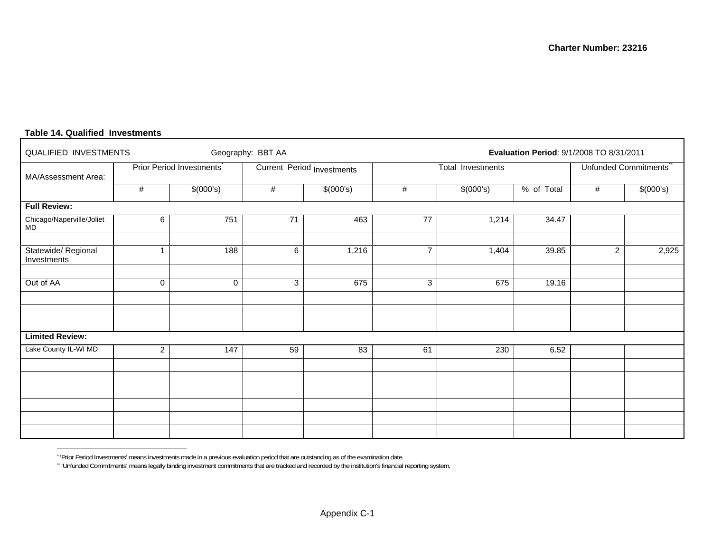| QUALIFIED INVESTMENTS              |                |                                       | Geography: BBT AA |                            |                | Evaluation Period: 9/1/2008 TO 8/31/2011 |                      |                |           |  |  |  |  |
|------------------------------------|----------------|---------------------------------------|-------------------|----------------------------|----------------|------------------------------------------|----------------------|----------------|-----------|--|--|--|--|
| MA/Assessment Area:                |                | Prior Period Investments <sup>®</sup> |                   | Current Period Investments |                | Total Investments                        | Unfunded Commitments |                |           |  |  |  |  |
|                                    | $\#$           | \$(000's)                             | $\#$              | \$(000's)                  | #              | $\sqrt{$(000's)}$                        | % of Total           | #              | \$(000's) |  |  |  |  |
| <b>Full Review:</b>                |                |                                       |                   |                            |                |                                          |                      |                |           |  |  |  |  |
| Chicago/Naperville/Joliet<br>MD    | 6              | 751                                   | 71                | 463                        | 77             | 1,214                                    | 34.47                |                |           |  |  |  |  |
|                                    |                |                                       |                   |                            |                |                                          |                      |                |           |  |  |  |  |
| Statewide/ Regional<br>Investments |                | 188                                   | 6                 | 1,216                      | $\overline{7}$ | 1,404                                    | 39.85                | $\overline{c}$ | 2,925     |  |  |  |  |
|                                    |                |                                       |                   |                            |                |                                          |                      |                |           |  |  |  |  |
| Out of AA                          | $\mathbf 0$    | 0                                     | 3                 | 675                        | 3              | 675                                      | 19.16                |                |           |  |  |  |  |
|                                    |                |                                       |                   |                            |                |                                          |                      |                |           |  |  |  |  |
|                                    |                |                                       |                   |                            |                |                                          |                      |                |           |  |  |  |  |
|                                    |                |                                       |                   |                            |                |                                          |                      |                |           |  |  |  |  |
| <b>Limited Review:</b>             |                |                                       |                   |                            |                |                                          |                      |                |           |  |  |  |  |
| Lake County IL-WI MD               | $\overline{2}$ | 147                                   | 59                | 83                         | 61             | 230                                      | 6.52                 |                |           |  |  |  |  |
|                                    |                |                                       |                   |                            |                |                                          |                      |                |           |  |  |  |  |
|                                    |                |                                       |                   |                            |                |                                          |                      |                |           |  |  |  |  |
|                                    |                |                                       |                   |                            |                |                                          |                      |                |           |  |  |  |  |
|                                    |                |                                       |                   |                            |                |                                          |                      |                |           |  |  |  |  |
|                                    |                |                                       |                   |                            |                |                                          |                      |                |           |  |  |  |  |
|                                    |                |                                       |                   |                            |                |                                          |                      |                |           |  |  |  |  |

#### **Table 14. Qualified Investments**

\* 'Prior Period Investments' means investments made in a previous evaluation period that are outstanding as of the examination date.

\*\* 'Unfunded Commitments' means legally binding investment commitments that are tracked and recorded by the institution's financial reporting system.